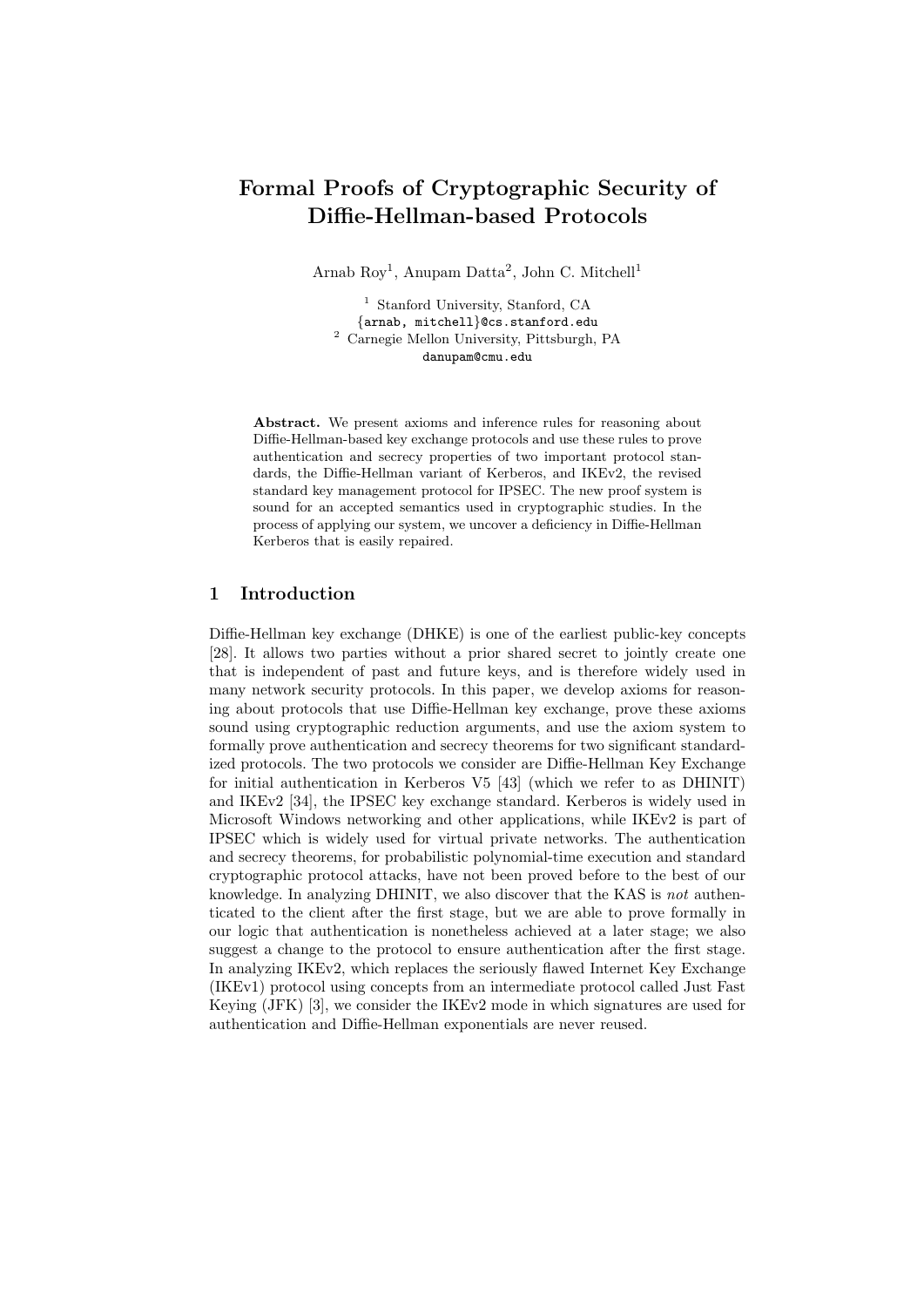# Formal Proofs of Cryptographic Security of Diffie-Hellman-based Protocols

Arnab Roy<sup>1</sup>, Anupam Datta<sup>2</sup>, John C. Mitchell<sup>1</sup>

<sup>1</sup> Stanford University, Stanford, CA {arnab, mitchell}@cs.stanford.edu <sup>2</sup> Carnegie Mellon University, Pittsburgh, PA danupam@cmu.edu

Abstract. We present axioms and inference rules for reasoning about Diffie-Hellman-based key exchange protocols and use these rules to prove authentication and secrecy properties of two important protocol standards, the Diffie-Hellman variant of Kerberos, and IKEv2, the revised standard key management protocol for IPSEC. The new proof system is sound for an accepted semantics used in cryptographic studies. In the process of applying our system, we uncover a deficiency in Diffie-Hellman Kerberos that is easily repaired.

# 1 Introduction

Diffie-Hellman key exchange (DHKE) is one of the earliest public-key concepts [28]. It allows two parties without a prior shared secret to jointly create one that is independent of past and future keys, and is therefore widely used in many network security protocols. In this paper, we develop axioms for reasoning about protocols that use Diffie-Hellman key exchange, prove these axioms sound using cryptographic reduction arguments, and use the axiom system to formally prove authentication and secrecy theorems for two significant standardized protocols. The two protocols we consider are Diffie-Hellman Key Exchange for initial authentication in Kerberos V5 [43] (which we refer to as DHINIT) and IKEv2 [34], the IPSEC key exchange standard. Kerberos is widely used in Microsoft Windows networking and other applications, while IKEv2 is part of IPSEC which is widely used for virtual private networks. The authentication and secrecy theorems, for probabilistic polynomial-time execution and standard cryptographic protocol attacks, have not been proved before to the best of our knowledge. In analyzing DHINIT, we also discover that the KAS is not authenticated to the client after the first stage, but we are able to prove formally in our logic that authentication is nonetheless achieved at a later stage; we also suggest a change to the protocol to ensure authentication after the first stage. In analyzing IKEv2, which replaces the seriously flawed Internet Key Exchange (IKEv1) protocol using concepts from an intermediate protocol called Just Fast Keying (JFK) [3], we consider the IKEv2 mode in which signatures are used for authentication and Diffie-Hellman exponentials are never reused.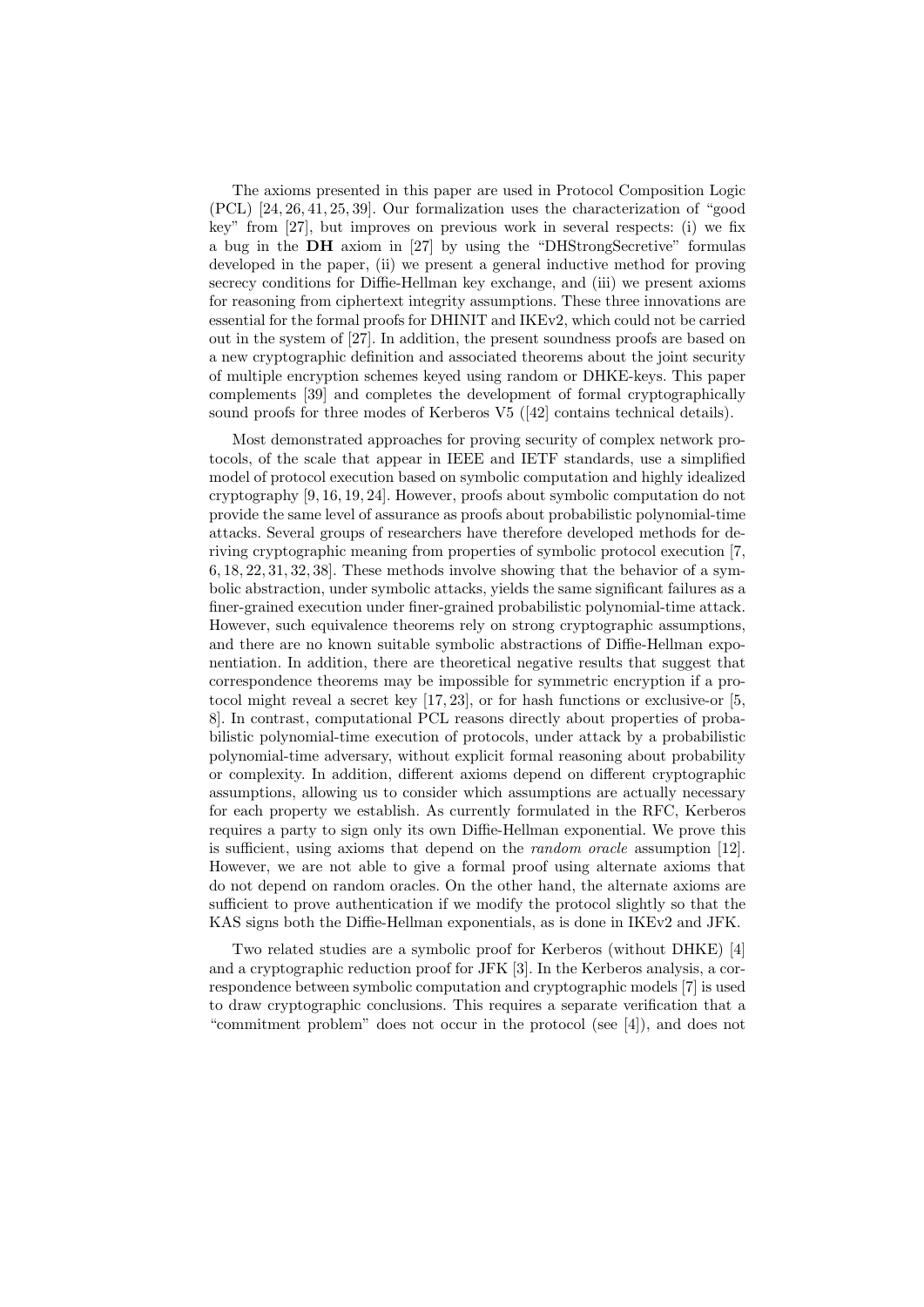The axioms presented in this paper are used in Protocol Composition Logic (PCL) [24, 26, 41, 25, 39]. Our formalization uses the characterization of "good key" from [27], but improves on previous work in several respects: (i) we fix a bug in the DH axiom in [27] by using the "DHStrongSecretive" formulas developed in the paper, (ii) we present a general inductive method for proving secrecy conditions for Diffie-Hellman key exchange, and (iii) we present axioms for reasoning from ciphertext integrity assumptions. These three innovations are essential for the formal proofs for DHINIT and IKEv2, which could not be carried out in the system of [27]. In addition, the present soundness proofs are based on a new cryptographic definition and associated theorems about the joint security of multiple encryption schemes keyed using random or DHKE-keys. This paper complements [39] and completes the development of formal cryptographically sound proofs for three modes of Kerberos V5 ([42] contains technical details).

Most demonstrated approaches for proving security of complex network protocols, of the scale that appear in IEEE and IETF standards, use a simplified model of protocol execution based on symbolic computation and highly idealized cryptography [9, 16, 19, 24]. However, proofs about symbolic computation do not provide the same level of assurance as proofs about probabilistic polynomial-time attacks. Several groups of researchers have therefore developed methods for deriving cryptographic meaning from properties of symbolic protocol execution [7, 6, 18, 22, 31, 32, 38]. These methods involve showing that the behavior of a symbolic abstraction, under symbolic attacks, yields the same significant failures as a finer-grained execution under finer-grained probabilistic polynomial-time attack. However, such equivalence theorems rely on strong cryptographic assumptions, and there are no known suitable symbolic abstractions of Diffie-Hellman exponentiation. In addition, there are theoretical negative results that suggest that correspondence theorems may be impossible for symmetric encryption if a protocol might reveal a secret key [17, 23], or for hash functions or exclusive-or [5, 8]. In contrast, computational PCL reasons directly about properties of probabilistic polynomial-time execution of protocols, under attack by a probabilistic polynomial-time adversary, without explicit formal reasoning about probability or complexity. In addition, different axioms depend on different cryptographic assumptions, allowing us to consider which assumptions are actually necessary for each property we establish. As currently formulated in the RFC, Kerberos requires a party to sign only its own Diffie-Hellman exponential. We prove this is sufficient, using axioms that depend on the *random oracle* assumption [12]. However, we are not able to give a formal proof using alternate axioms that do not depend on random oracles. On the other hand, the alternate axioms are sufficient to prove authentication if we modify the protocol slightly so that the KAS signs both the Diffie-Hellman exponentials, as is done in IKEv2 and JFK.

Two related studies are a symbolic proof for Kerberos (without DHKE) [4] and a cryptographic reduction proof for JFK [3]. In the Kerberos analysis, a correspondence between symbolic computation and cryptographic models [7] is used to draw cryptographic conclusions. This requires a separate verification that a "commitment problem" does not occur in the protocol (see [4]), and does not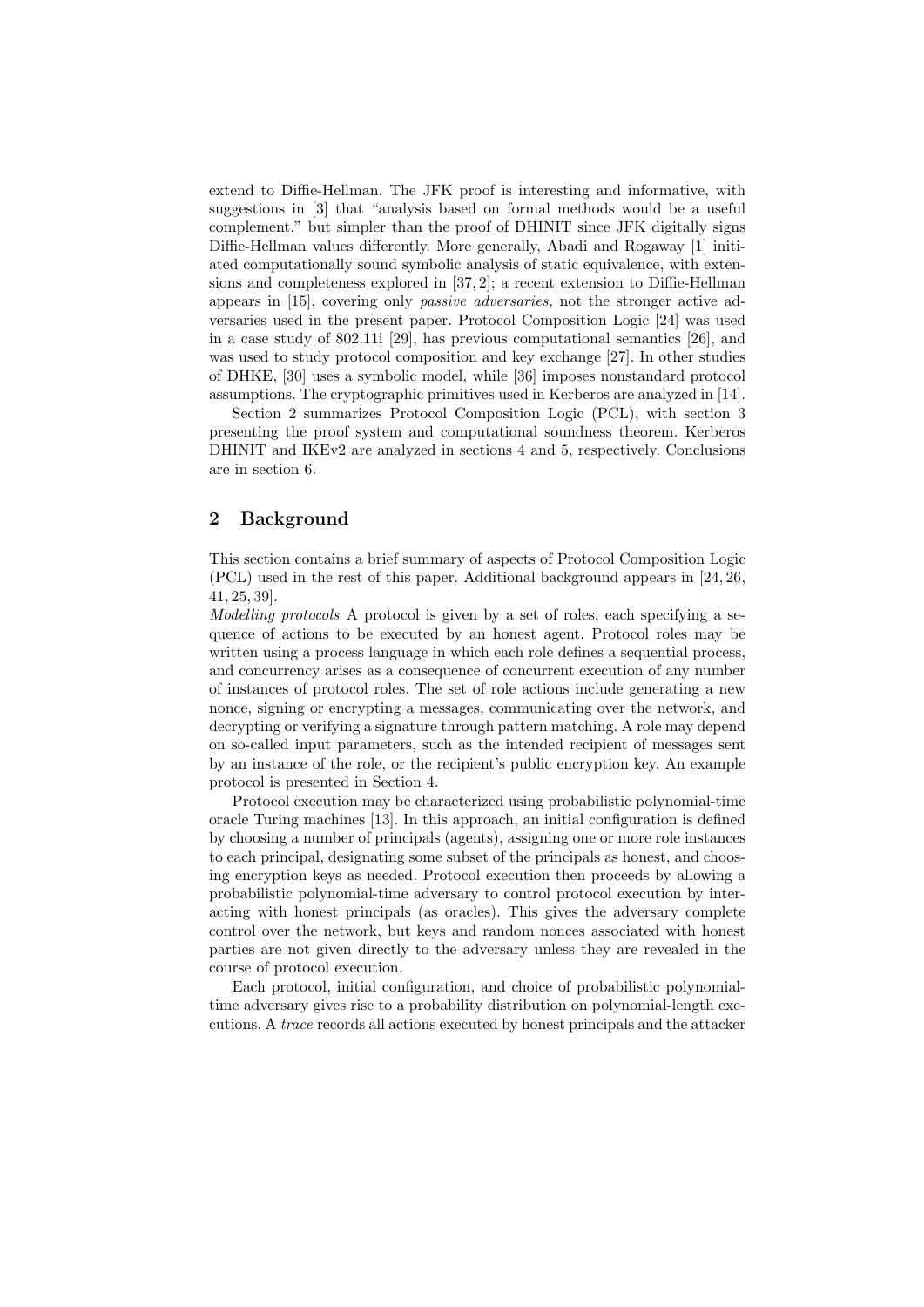extend to Diffie-Hellman. The JFK proof is interesting and informative, with suggestions in [3] that "analysis based on formal methods would be a useful complement," but simpler than the proof of DHINIT since JFK digitally signs Diffie-Hellman values differently. More generally, Abadi and Rogaway [1] initiated computationally sound symbolic analysis of static equivalence, with extensions and completeness explored in [37, 2]; a recent extension to Diffie-Hellman appears in [15], covering only passive adversaries, not the stronger active adversaries used in the present paper. Protocol Composition Logic [24] was used in a case study of 802.11i [29], has previous computational semantics [26], and was used to study protocol composition and key exchange [27]. In other studies of DHKE, [30] uses a symbolic model, while [36] imposes nonstandard protocol assumptions. The cryptographic primitives used in Kerberos are analyzed in [14].

Section 2 summarizes Protocol Composition Logic (PCL), with section 3 presenting the proof system and computational soundness theorem. Kerberos DHINIT and IKEv2 are analyzed in sections 4 and 5, respectively. Conclusions are in section 6.

## 2 Background

This section contains a brief summary of aspects of Protocol Composition Logic (PCL) used in the rest of this paper. Additional background appears in [24, 26, 41, 25, 39].

Modelling protocols A protocol is given by a set of roles, each specifying a sequence of actions to be executed by an honest agent. Protocol roles may be written using a process language in which each role defines a sequential process, and concurrency arises as a consequence of concurrent execution of any number of instances of protocol roles. The set of role actions include generating a new nonce, signing or encrypting a messages, communicating over the network, and decrypting or verifying a signature through pattern matching. A role may depend on so-called input parameters, such as the intended recipient of messages sent by an instance of the role, or the recipient's public encryption key. An example protocol is presented in Section 4.

Protocol execution may be characterized using probabilistic polynomial-time oracle Turing machines [13]. In this approach, an initial configuration is defined by choosing a number of principals (agents), assigning one or more role instances to each principal, designating some subset of the principals as honest, and choosing encryption keys as needed. Protocol execution then proceeds by allowing a probabilistic polynomial-time adversary to control protocol execution by interacting with honest principals (as oracles). This gives the adversary complete control over the network, but keys and random nonces associated with honest parties are not given directly to the adversary unless they are revealed in the course of protocol execution.

Each protocol, initial configuration, and choice of probabilistic polynomialtime adversary gives rise to a probability distribution on polynomial-length executions. A trace records all actions executed by honest principals and the attacker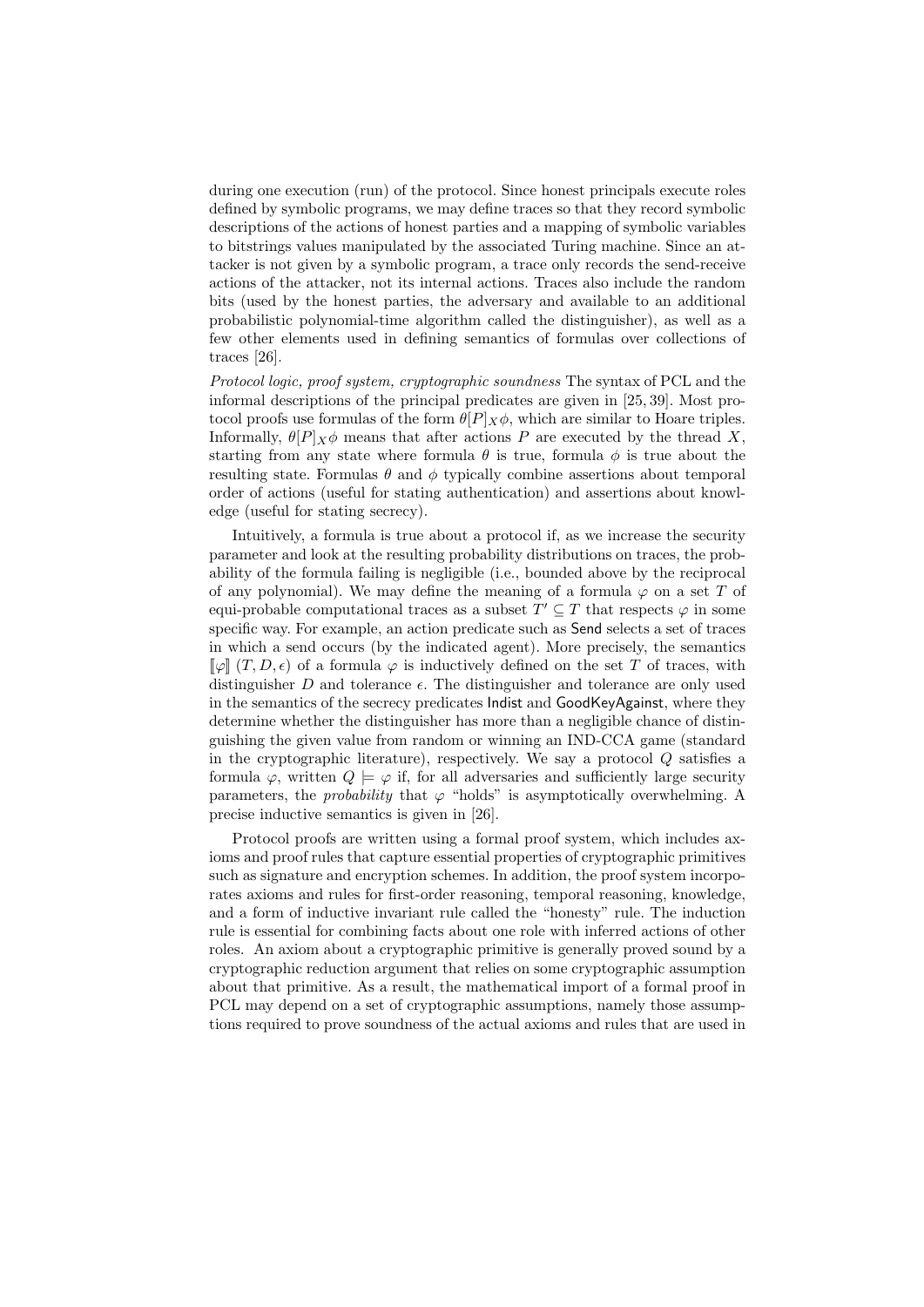during one execution (run) of the protocol. Since honest principals execute roles defined by symbolic programs, we may define traces so that they record symbolic descriptions of the actions of honest parties and a mapping of symbolic variables to bitstrings values manipulated by the associated Turing machine. Since an attacker is not given by a symbolic program, a trace only records the send-receive actions of the attacker, not its internal actions. Traces also include the random bits (used by the honest parties, the adversary and available to an additional probabilistic polynomial-time algorithm called the distinguisher), as well as a few other elements used in defining semantics of formulas over collections of traces [26].

Protocol logic, proof system, cryptographic soundness The syntax of PCL and the informal descriptions of the principal predicates are given in [25, 39]. Most protocol proofs use formulas of the form  $\theta[P]_X\phi$ , which are similar to Hoare triples. Informally,  $\theta[P]_X\phi$  means that after actions P are executed by the thread X, starting from any state where formula  $\theta$  is true, formula  $\phi$  is true about the resulting state. Formulas  $\theta$  and  $\phi$  typically combine assertions about temporal order of actions (useful for stating authentication) and assertions about knowledge (useful for stating secrecy).

Intuitively, a formula is true about a protocol if, as we increase the security parameter and look at the resulting probability distributions on traces, the probability of the formula failing is negligible (i.e., bounded above by the reciprocal of any polynomial). We may define the meaning of a formula  $\varphi$  on a set T of equi-probable computational traces as a subset  $T' \subseteq T$  that respects  $\varphi$  in some specific way. For example, an action predicate such as Send selects a set of traces in which a send occurs (by the indicated agent). More precisely, the semantics  $\llbracket \varphi \rrbracket$  (T, D,  $\epsilon$ ) of a formula  $\varphi$  is inductively defined on the set T of traces, with distinguisher  $D$  and tolerance  $\epsilon$ . The distinguisher and tolerance are only used in the semantics of the secrecy predicates Indist and GoodKeyAgainst, where they determine whether the distinguisher has more than a negligible chance of distinguishing the given value from random or winning an IND-CCA game (standard in the cryptographic literature), respectively. We say a protocol  $Q$  satisfies a formula  $\varphi$ , written  $Q \models \varphi$  if, for all adversaries and sufficiently large security parameters, the *probability* that  $\varphi$  "holds" is asymptotically overwhelming. A precise inductive semantics is given in [26].

Protocol proofs are written using a formal proof system, which includes axioms and proof rules that capture essential properties of cryptographic primitives such as signature and encryption schemes. In addition, the proof system incorporates axioms and rules for first-order reasoning, temporal reasoning, knowledge, and a form of inductive invariant rule called the "honesty" rule. The induction rule is essential for combining facts about one role with inferred actions of other roles. An axiom about a cryptographic primitive is generally proved sound by a cryptographic reduction argument that relies on some cryptographic assumption about that primitive. As a result, the mathematical import of a formal proof in PCL may depend on a set of cryptographic assumptions, namely those assumptions required to prove soundness of the actual axioms and rules that are used in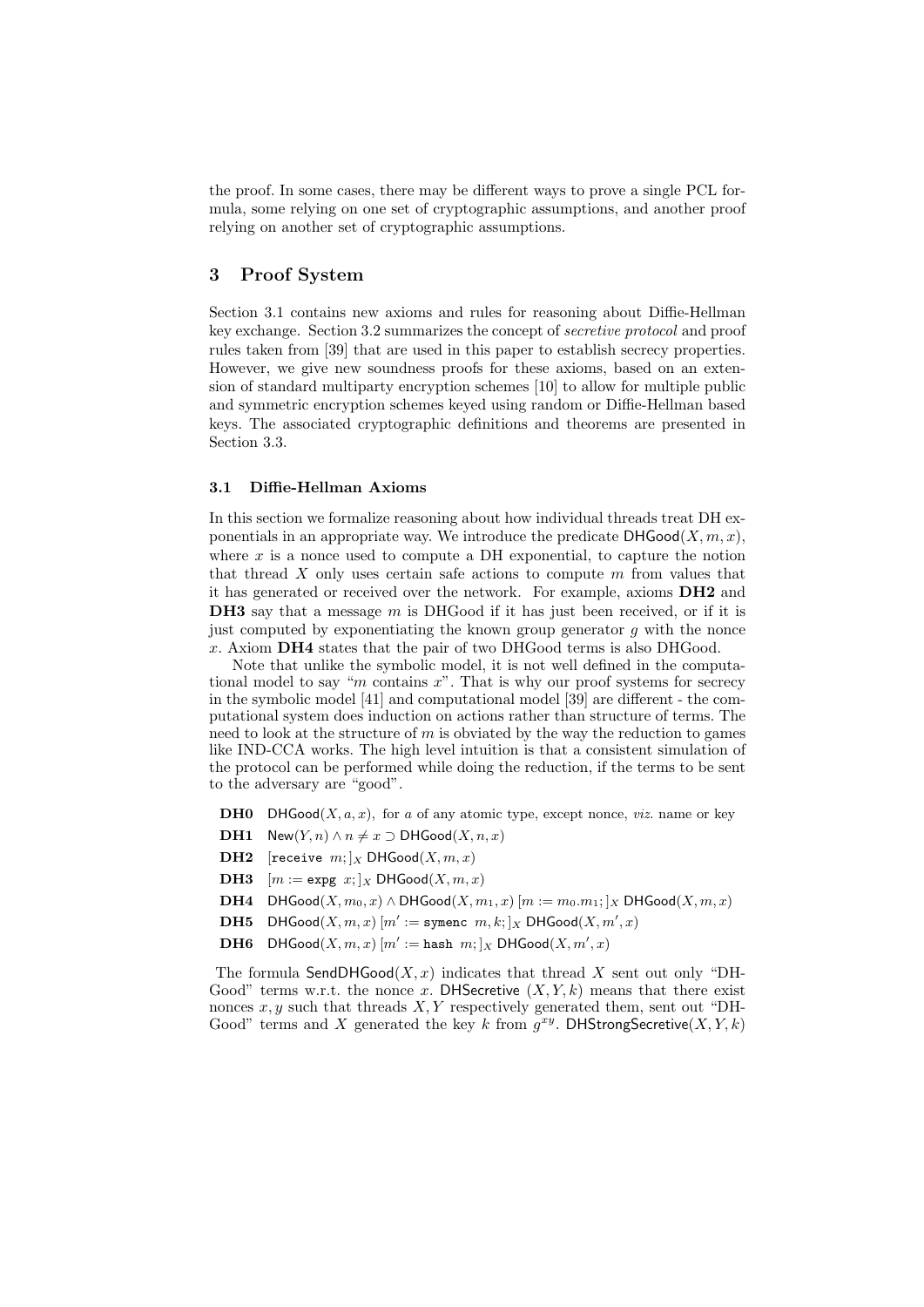the proof. In some cases, there may be different ways to prove a single PCL formula, some relying on one set of cryptographic assumptions, and another proof relying on another set of cryptographic assumptions.

# 3 Proof System

Section 3.1 contains new axioms and rules for reasoning about Diffie-Hellman key exchange. Section 3.2 summarizes the concept of secretive protocol and proof rules taken from [39] that are used in this paper to establish secrecy properties. However, we give new soundness proofs for these axioms, based on an extension of standard multiparty encryption schemes [10] to allow for multiple public and symmetric encryption schemes keyed using random or Diffie-Hellman based keys. The associated cryptographic definitions and theorems are presented in Section 3.3.

## 3.1 Diffie-Hellman Axioms

In this section we formalize reasoning about how individual threads treat DH exponentials in an appropriate way. We introduce the predicate  $DHGood(X, m, x)$ , where  $x$  is a nonce used to compute a DH exponential, to capture the notion that thread  $X$  only uses certain safe actions to compute  $m$  from values that it has generated or received over the network. For example, axioms DH2 and **DH3** say that a message  $m$  is DHGood if it has just been received, or if it is just computed by exponentiating the known group generator  $g$  with the nonce  $x$ . Axiom DH4 states that the pair of two DHGood terms is also DHGood.

Note that unlike the symbolic model, it is not well defined in the computational model to say "m contains  $x$ ". That is why our proof systems for secrecy in the symbolic model [41] and computational model [39] are different - the computational system does induction on actions rather than structure of terms. The need to look at the structure of  $m$  is obviated by the way the reduction to games like IND-CCA works. The high level intuition is that a consistent simulation of the protocol can be performed while doing the reduction, if the terms to be sent to the adversary are "good".

- **DH0** DHGood $(X, a, x)$ , for a of any atomic type, except nonce, *viz.* name or key
- DH1 New $(Y, n) \wedge n \neq x \supset \text{DHGood}(X, n, x)$
- **DH2** [receive  $m;$ ]<sub>X</sub> DHGood( $X, m, x$ )
- **DH3**  $[m := \text{expg } x; ]_X$  DHGood $(X, m, x)$
- DH4 DHGood $(X, m_0, x) \wedge \mathsf{DHGood}(X, m_1, x)$   $[m := m_0.m_1;]_X$  DHGood $(X, m, x)$
- **DH5** DHGood $(X, m, x)$   $[m] :=$  symenc  $m, k$ ;  $]_X$  DHGood $(X, m', x)$
- **DH6**  $DHGood(X, m, x)$   $[m' :=$  hash  $[m]_X$  DHGood $(X, m', x)$

The formula  $\mathsf{SendDHGood}(X,x)$  indicates that thread X sent out only "DH-Good" terms w.r.t. the nonce x. DHSecretive  $(X, Y, k)$  means that there exist nonces  $x, y$  such that threads  $X, Y$  respectively generated them, sent out "DH-Good" terms and X generated the key k from  $g^{xy}$ . DHStrongSecretive(X, Y, k)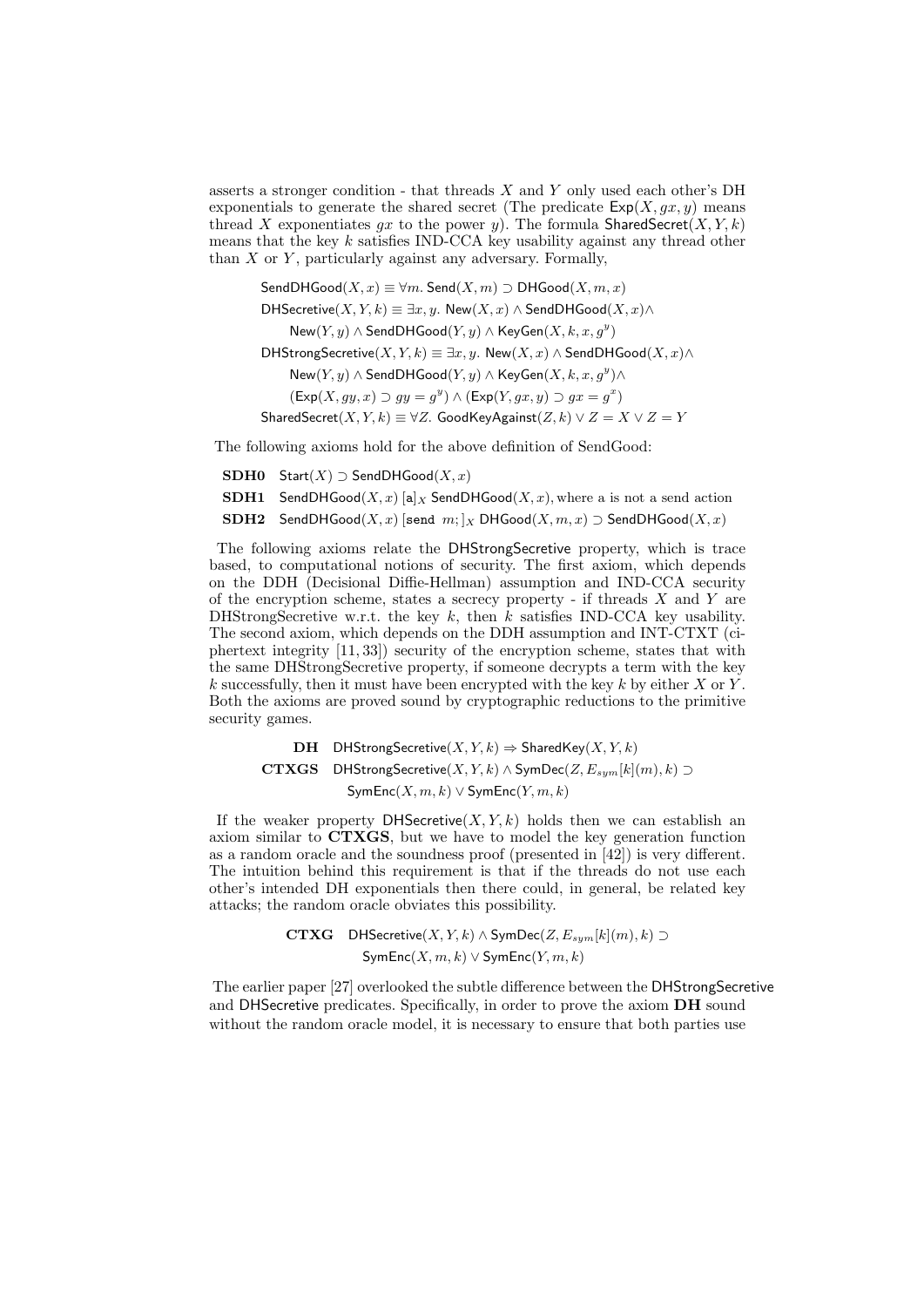asserts a stronger condition - that threads  $X$  and  $Y$  only used each other's DH exponentials to generate the shared secret (The predicate  $Exp(X, qx, y)$ ) means thread X exponentiates gx to the power y). The formula SharedSecret(X, Y, k) means that the key  $k$  satisfies IND-CCA key usability against any thread other than  $X$  or  $Y$ , particularly against any adversary. Formally,

 $SendDHGood(X, x) \equiv \forall m$ . Send $(X, m) \supset DHGood(X, m, x)$ DHSecretive(X, Y, k)  $\equiv \exists x, y$ . New(X, x)  $\land$  SendDHGood(X, x) $\land$ New $(Y, y)$  ∧ SendDHGood $(Y, y)$  ∧ KeyGen $(X, k, x, g^y)$ DHStrongSecretive(X, Y, k)  $\equiv \exists x, y$ . New(X, x)  $\land$  SendDHGood(X, x) $\land$ New $(Y, y)$  ∧ SendDHGood $(Y, y)$  ∧ KeyGen $(X, k, x, g^y)$ ∧  $(\textsf{Exp}(X, gy, x) \supset gy = g^y) \wedge (\textsf{Exp}(Y, gx, y) \supset gx = g^x)$ SharedSecret(X, Y, k)  $\equiv \forall Z$ . GoodKeyAgainst(Z, k)  $\forall Z = X \lor Z = Y$ 

The following axioms hold for the above definition of SendGood:

SDH0 Start $(X)$   $\supset$  SendDHGood $(X, x)$ **SDH1** SendDHGood $(X, x)$  [a]<sub>X</sub> SendDHGood $(X, x)$ , where a is not a send action SDH2 SendDHGood $(X, x)$  [send  $m;$ ] $_X$  DHGood $(X, m, x)$   $\supset$  SendDHGood $(X, x)$ 

The following axioms relate the DHStrongSecretive property, which is trace based, to computational notions of security. The first axiom, which depends on the DDH (Decisional Diffie-Hellman) assumption and IND-CCA security of the encryption scheme, states a secrecy property - if threads  $X$  and  $Y$  are DHStrongSecretive w.r.t. the key  $k$ , then  $k$  satisfies IND-CCA key usability. The second axiom, which depends on the DDH assumption and INT-CTXT (ciphertext integrity [11, 33]) security of the encryption scheme, states that with the same DHStrongSecretive property, if someone decrypts a term with the key k successfully, then it must have been encrypted with the key k by either  $X$  or  $Y$ . Both the axioms are proved sound by cryptographic reductions to the primitive security games.

**DH** DHStrongSecretive $(X, Y, k) \Rightarrow$  SharedKey $(X, Y, k)$ CTXGS DHStrongSecretive(X, Y, k) ∧ SymDec(Z,  $E_{sym}[k](m)$ , k) ⊃ SymEnc $(X, m, k)$   $\vee$  SymEnc $(Y, m, k)$ 

If the weaker property DHSecretive $(X, Y, k)$  holds then we can establish an axiom similar to CTXGS, but we have to model the key generation function as a random oracle and the soundness proof (presented in [42]) is very different. The intuition behind this requirement is that if the threads do not use each other's intended DH exponentials then there could, in general, be related key attacks; the random oracle obviates this possibility.

> CTXG DHSecretive $(X, Y, k) \wedge$  SymDec $(Z, E_{sym}[k](m), k) \supset$ SymEnc $(X, m, k)$   $\vee$  SymEnc $(Y, m, k)$

The earlier paper [27] overlooked the subtle difference between the DHStrongSecretive and DHSecretive predicates. Specifically, in order to prove the axiom DH sound without the random oracle model, it is necessary to ensure that both parties use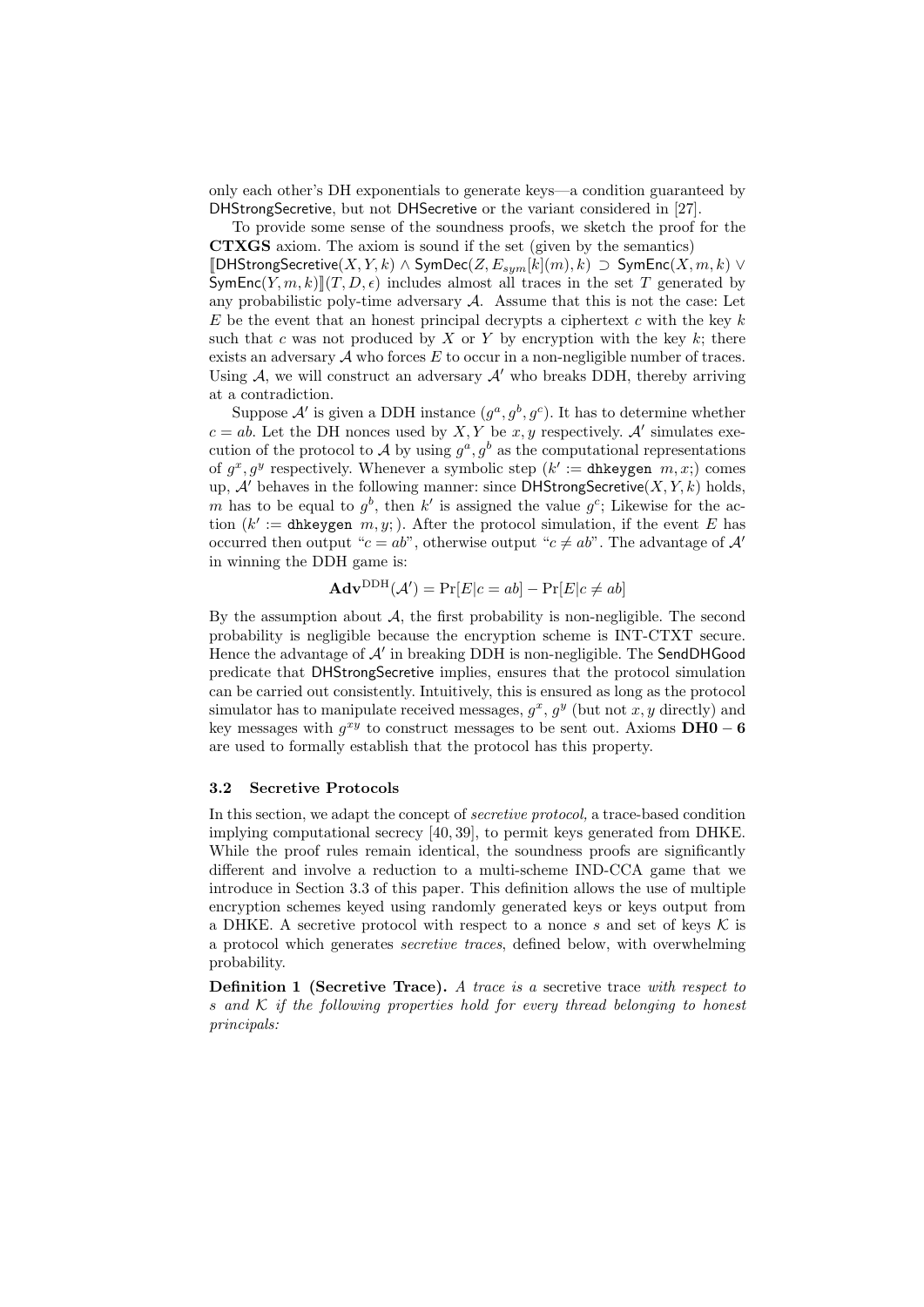only each other's DH exponentials to generate keys—a condition guaranteed by DHStrongSecretive, but not DHSecretive or the variant considered in [27].

To provide some sense of the soundness proofs, we sketch the proof for the CTXGS axiom. The axiom is sound if the set (given by the semantics)

 $\P{\sf DHStrongS}$ ecretive $(X, Y, k)$  ∧ SymDec $(Z, E_{sum}[k](m), k)$  ⊃ SymEnc $(X, m, k)$  ∨  $SymEnc(Y, m, k)\mathbb{I}(T, D, \epsilon)$  includes almost all traces in the set T generated by any probabilistic poly-time adversary  $A$ . Assume that this is not the case: Let  $E$  be the event that an honest principal decrypts a ciphertext  $c$  with the key  $k$ such that c was not produced by X or Y by encryption with the key  $k$ ; there exists an adversary  $\mathcal A$  who forces  $E$  to occur in a non-negligible number of traces. Using  $A$ , we will construct an adversary  $A'$  who breaks DDH, thereby arriving at a contradiction.

Suppose A' is given a DDH instance  $(g^a, g^b, g^c)$ . It has to determine whether  $c = ab$ . Let the DH nonces used by X, Y be x, y respectively. A' simulates execution of the protocol to A by using  $g^a$ ,  $g^b$  as the computational representations of  $g^x, g^y$  respectively. Whenever a symbolic step  $(k' :=$  dhkeygen  $m, x$ ; comes up,  $\mathcal{A}'$  behaves in the following manner: since DHStrongSecretive(X, Y, k) holds, m has to be equal to  $g^b$ , then k' is assigned the value  $g^c$ ; Likewise for the action  $(k' := \mathtt{dhkeygen} \ m, y;$ ). After the protocol simulation, if the event E has occurred then output " $c = ab$ ", otherwise output " $c \neq ab$ ". The advantage of A' in winning the DDH game is:

$$
\mathbf{Adv}^{\mathrm{DDH}}(\mathcal{A}') = \Pr[E|c = ab] - \Pr[E|c \neq ab]
$$

By the assumption about  $A$ , the first probability is non-negligible. The second probability is negligible because the encryption scheme is INT-CTXT secure. Hence the advantage of  $A'$  in breaking DDH is non-negligible. The SendDHGood predicate that DHStrongSecretive implies, ensures that the protocol simulation can be carried out consistently. Intuitively, this is ensured as long as the protocol simulator has to manipulate received messages,  $g^x$ ,  $g^y$  (but not x, y directly) and key messages with  $g^{xy}$  to construct messages to be sent out. Axioms  $DH0 - 6$ are used to formally establish that the protocol has this property.

## 3.2 Secretive Protocols

In this section, we adapt the concept of secretive protocol, a trace-based condition implying computational secrecy [40, 39], to permit keys generated from DHKE. While the proof rules remain identical, the soundness proofs are significantly different and involve a reduction to a multi-scheme IND-CCA game that we introduce in Section 3.3 of this paper. This definition allows the use of multiple encryption schemes keyed using randomly generated keys or keys output from a DHKE. A secretive protocol with respect to a nonce s and set of keys  $\mathcal K$  is a protocol which generates secretive traces, defined below, with overwhelming probability.

Definition 1 (Secretive Trace). A trace is a secretive trace with respect to s and  $K$  if the following properties hold for every thread belonging to honest principals: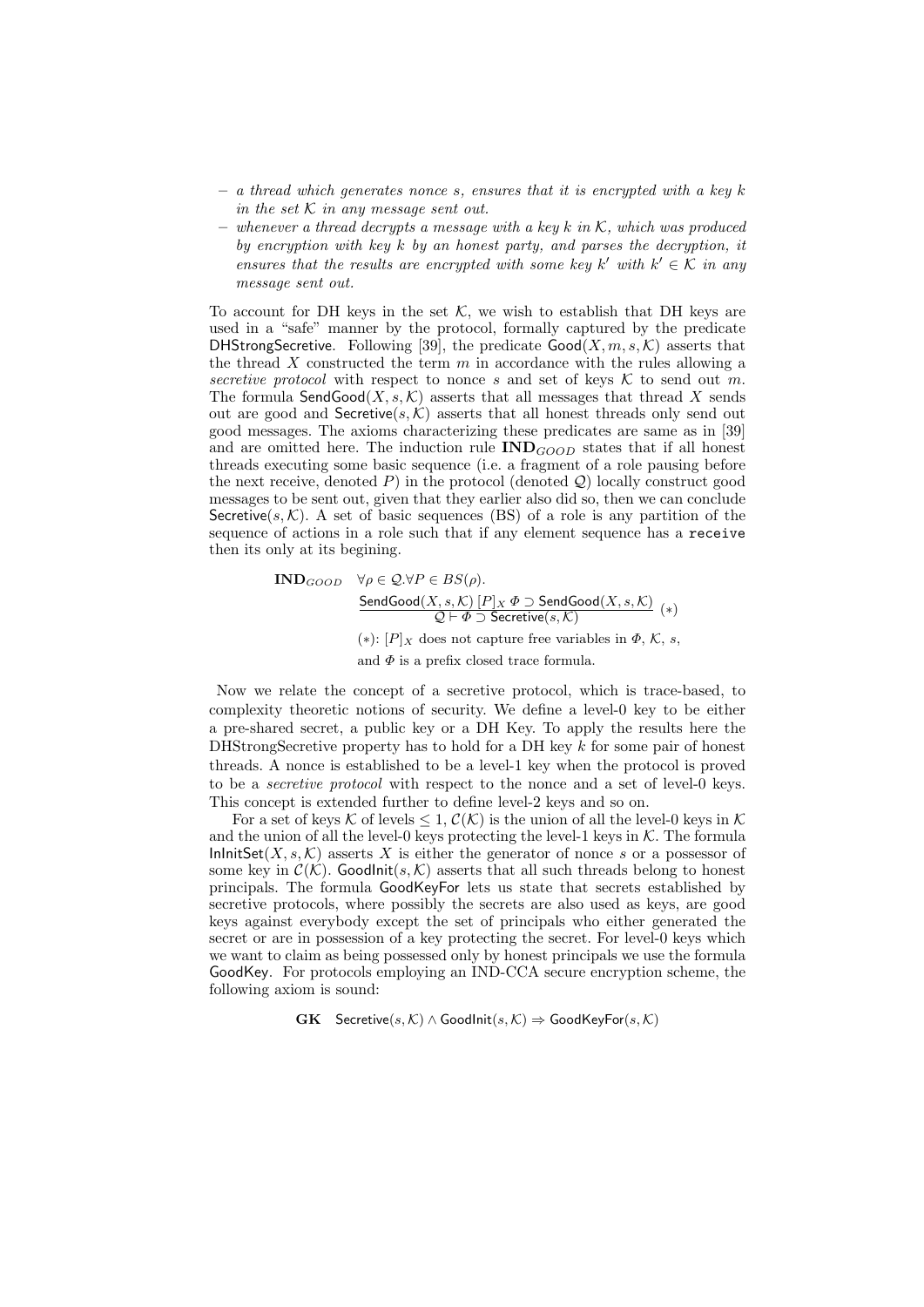- $-$  a thread which generates nonce s, ensures that it is encrypted with a key k in the set  $K$  in any message sent out.
- whenever a thread decrypts a message with a key  $k$  in  $K$ , which was produced by encryption with key k by an honest party, and parses the decryption, it ensures that the results are encrypted with some key k' with  $k' \in \mathcal{K}$  in any message sent out.

To account for DH keys in the set  $K$ , we wish to establish that DH keys are used in a "safe" manner by the protocol, formally captured by the predicate DHStrongSecretive. Following [39], the predicate  $\text{Good}(X, m, s, \mathcal{K})$  asserts that the thread  $X$  constructed the term  $m$  in accordance with the rules allowing a secretive protocol with respect to nonce s and set of keys  $K$  to send out m. The formula  $\mathsf{SendGood}(X, s, \mathcal{K})$  asserts that all messages that thread X sends out are good and  $S$ ecretive $(s, K)$  asserts that all honest threads only send out good messages. The axioms characterizing these predicates are same as in [39] and are omitted here. The induction rule  $\text{IND}_{GOOD}$  states that if all honest threads executing some basic sequence (i.e. a fragment of a role pausing before the next receive, denoted  $P$ ) in the protocol (denoted  $Q$ ) locally construct good messages to be sent out, given that they earlier also did so, then we can conclude Secretive(s, K). A set of basic sequences (BS) of a role is any partition of the sequence of actions in a role such that if any element sequence has a receive then its only at its begining.

$$
\begin{array}{ll}\n\textbf{IND}_{GOOD} & \forall \rho \in \mathcal{Q}.\forall P \in BS(\rho).\n\end{array}
$$
\n
$$
\begin{array}{ll}\n\textbf{SendGood}(X, s, \mathcal{K}) [P] \times \Phi \supset \textbf{SendGood}(X, s, \mathcal{K}) \\
& \mathcal{Q} \vdash \Phi \supset \textbf{Secretive}(s, \mathcal{K}) \\
(*) \colon [P] \times \text{does not capture free variables in } \Phi, \mathcal{K}, s,\n\end{array}
$$
\n
$$
\text{and } \Phi \text{ is a prefix closed trace formula.}
$$

Now we relate the concept of a secretive protocol, which is trace-based, to complexity theoretic notions of security. We define a level-0 key to be either a pre-shared secret, a public key or a DH Key. To apply the results here the DHStrongSecretive property has to hold for a DH key  $k$  for some pair of honest threads. A nonce is established to be a level-1 key when the protocol is proved to be a secretive protocol with respect to the nonce and a set of level-0 keys. This concept is extended further to define level-2 keys and so on.

For a set of keys K of levels  $\leq 1$ ,  $\mathcal{C}(\mathcal{K})$  is the union of all the level-0 keys in K and the union of all the level-0 keys protecting the level-1 keys in  $K$ . The formula In lnit Set  $(X, s, \mathcal{K})$  asserts X is either the generator of nonce s or a possessor of some key in  $\mathcal{C}(\mathcal{K})$ . Goodlnit $(s,\mathcal{K})$  asserts that all such threads belong to honest principals. The formula GoodKeyFor lets us state that secrets established by secretive protocols, where possibly the secrets are also used as keys, are good keys against everybody except the set of principals who either generated the secret or are in possession of a key protecting the secret. For level-0 keys which we want to claim as being possessed only by honest principals we use the formula GoodKey. For protocols employing an IND-CCA secure encryption scheme, the following axiom is sound:

$$
GK \quad \text{Secretive}(s, \mathcal{K}) \land \text{GoodInit}(s, \mathcal{K}) \Rightarrow \text{GoodKeyFor}(s, \mathcal{K})
$$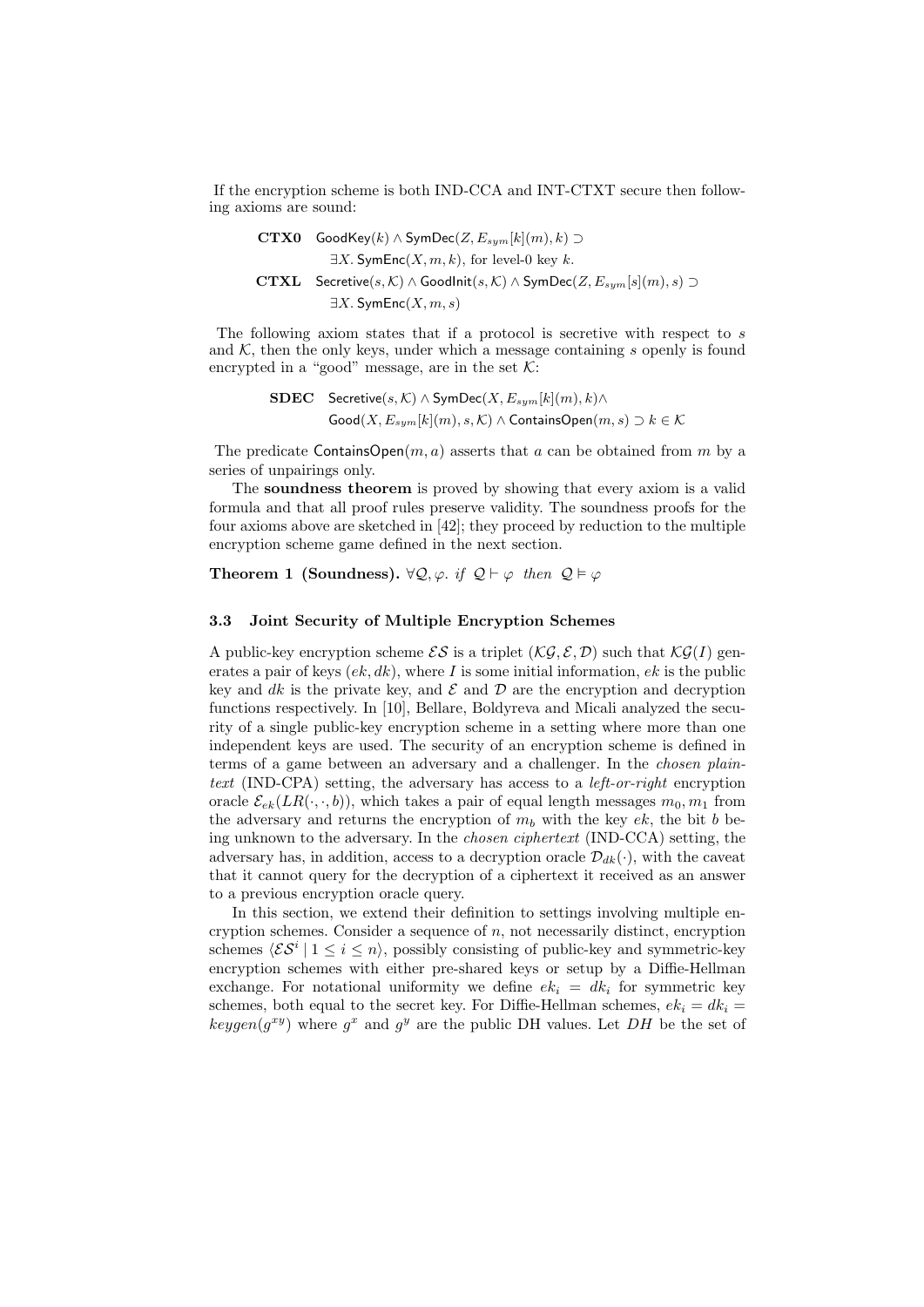If the encryption scheme is both IND-CCA and INT-CTXT secure then following axioms are sound:

**CTX0** GoodKey(*k*) 
$$
\land
$$
 SymDec(*Z*,  $E_{sym}[k](m), k) \supset$   
\n $\exists X$ . SymEnc(*X*, *m*, *k*), for level-0 key *k*.  
\n**CTXL** Secretive(*s*, *K*)  $\land$  GoodInit(*s*, *K*)  $\land$  SymDec(*Z*,  $E_{sym}[s](m), s) \supset$   
\n $\exists X$ . SymEnc(*X*, *m*, *s*)

The following axiom states that if a protocol is secretive with respect to s and  $K$ , then the only keys, under which a message containing s openly is found encrypted in a "good" message, are in the set  $K$ :

> SDEC Secretive $(s, \mathcal{K}) \wedge$  Sym $\text{Dec}(X, E_{sym}[k](m), k) \wedge$  $\textsf{Good}(X, E_{sym}[k](m), s, \mathcal{K}) \wedge \textsf{ContinuousOpen}(m, s) \supset k \in \mathcal{K}$

The predicate ContainsOpen $(m, a)$  asserts that a can be obtained from m by a series of unpairings only.

The soundness theorem is proved by showing that every axiom is a valid formula and that all proof rules preserve validity. The soundness proofs for the four axioms above are sketched in [42]; they proceed by reduction to the multiple encryption scheme game defined in the next section.

Theorem 1 (Soundness).  $\forall Q, \varphi$ . if  $Q \vdash \varphi$  then  $Q \models \varphi$ 

#### 3.3 Joint Security of Multiple Encryption Schemes

A public-key encryption scheme  $\mathcal{ES}$  is a triplet  $(\mathcal{KG}, \mathcal{E}, \mathcal{D})$  such that  $\mathcal{KG}(I)$  generates a pair of keys  $(ek, dk)$ , where I is some initial information,  $ek$  is the public key and dk is the private key, and  $\mathcal E$  and  $\mathcal D$  are the encryption and decryption functions respectively. In [10], Bellare, Boldyreva and Micali analyzed the security of a single public-key encryption scheme in a setting where more than one independent keys are used. The security of an encryption scheme is defined in terms of a game between an adversary and a challenger. In the *chosen plain*text (IND-CPA) setting, the adversary has access to a left-or-right encryption oracle  $\mathcal{E}_{ek}(LR(\cdot,\cdot,b))$ , which takes a pair of equal length messages  $m_0, m_1$  from the adversary and returns the encryption of  $m_b$  with the key  $ek$ , the bit b being unknown to the adversary. In the chosen ciphertext (IND-CCA) setting, the adversary has, in addition, access to a decryption oracle  $\mathcal{D}_{dk}(\cdot)$ , with the caveat that it cannot query for the decryption of a ciphertext it received as an answer to a previous encryption oracle query.

In this section, we extend their definition to settings involving multiple encryption schemes. Consider a sequence of  $n$ , not necessarily distinct, encryption schemes  $\langle \mathcal{ES}^i | 1 \leq i \leq n \rangle$ , possibly consisting of public-key and symmetric-key encryption schemes with either pre-shared keys or setup by a Diffie-Hellman exchange. For notational uniformity we define  $ek_i = dk_i$  for symmetric key schemes, both equal to the secret key. For Diffie-Hellman schemes,  $ek_i = dk_i$  $keygen(g^{xy})$  where  $g^x$  and  $g^y$  are the public DH values. Let DH be the set of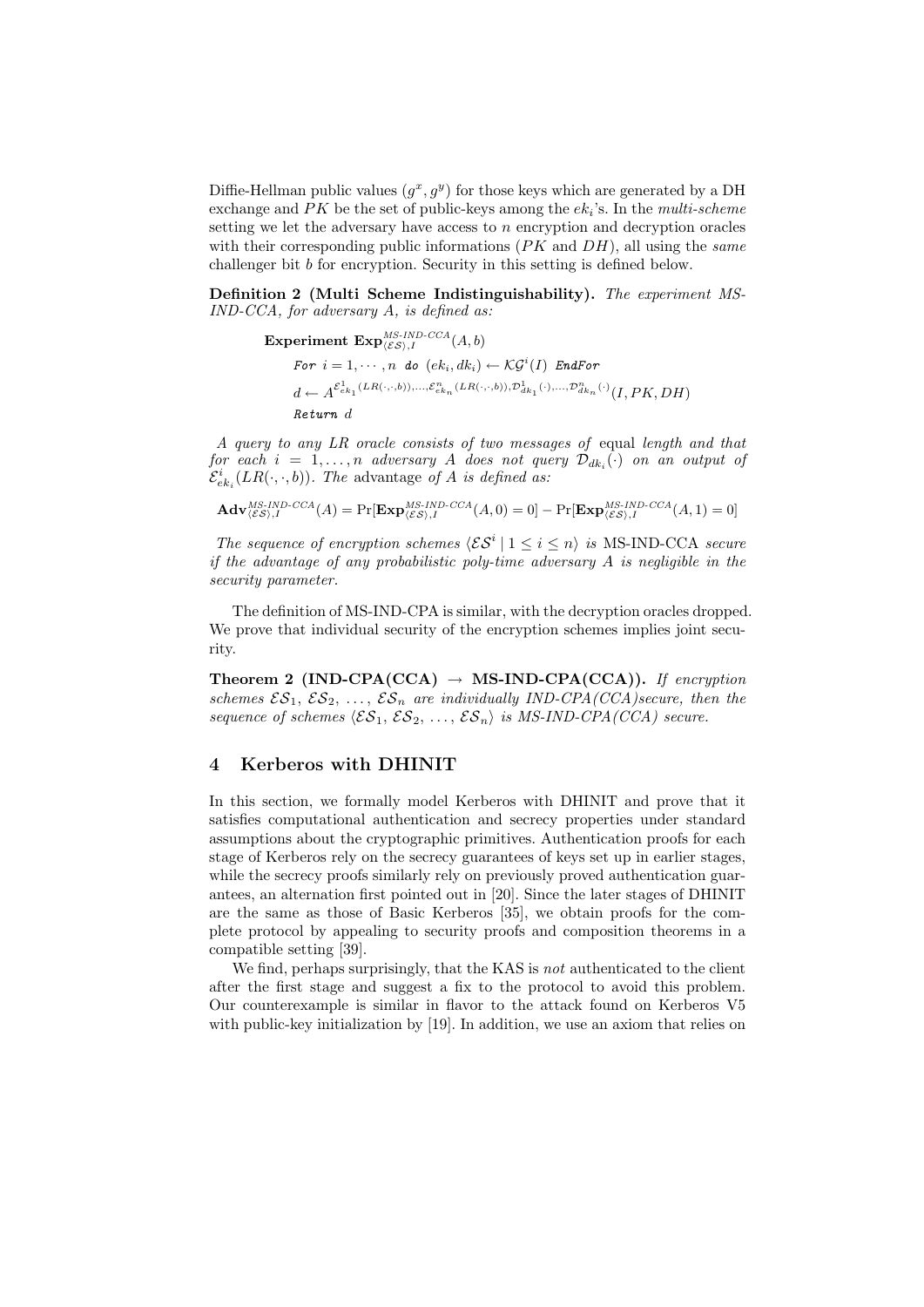Diffie-Hellman public values  $(g^x, g^y)$  for those keys which are generated by a DH exchange and  $PK$  be the set of public-keys among the  $ek_i$ 's. In the *multi-scheme* setting we let the adversary have access to  $n$  encryption and decryption oracles with their corresponding public informations  $(PK \text{ and } DH)$ , all using the same challenger bit b for encryption. Security in this setting is defined below.

Definition 2 (Multi Scheme Indistinguishability). The experiment MS-IND-CCA, for adversary A, is defined as:

**Experiment Exp**<sub>(
$$
\mathcal{ES}
$$
),  $I$</sub>   
\nFor  $i = 1, \dots, n$  do  $(ek_i, dk_i) \leftarrow \mathcal{KG}^i(I)$  EndFor  
\n
$$
d \leftarrow A^{\mathcal{E}_{ek_1}^1(LR(\cdot, \cdot, b)), \dots, \mathcal{E}_{ek_n}^n(LR(\cdot, \cdot, b)), \mathcal{D}_{dk_1}^1(\cdot), \dots, \mathcal{D}_{dk_n}^n(\cdot)}(I, PK, DH)
$$
\n\nReturn  $d$ 

A query to any LR oracle consists of two messages of equal length and that for each  $i = 1, ..., n$  adversary A does not query  $\mathcal{D}_{dk_i}(\cdot)$  on an output of  $\mathcal{E}^i_{ek_i}(LR(\cdot,\cdot,b)).$  The advantage of A is defined as:

$$
\mathbf{Adv}_{(\mathcal{ES}),I}^{\mathit{MS-IND-CCA}}(A) = \Pr[\mathbf{Exp}_{(\mathcal{ES}),I}^{\mathit{MS-IND-CCA}}(A,0) = 0] - \Pr[\mathbf{Exp}_{(\mathcal{ES}),I}^{\mathit{MS-IND-CCA}}(A,1) = 0]
$$

The sequence of encryption schemes  $\langle \mathcal{ES}^i | 1 \leq i \leq n \rangle$  is MS-IND-CCA secure if the advantage of any probabilistic poly-time adversary A is negligible in the security parameter.

The definition of MS-IND-CPA is similar, with the decryption oracles dropped. We prove that individual security of the encryption schemes implies joint security.

Theorem 2 (IND-CPA(CCA)  $\rightarrow$  MS-IND-CPA(CCA)). If encryption schemes  $\mathcal{ES}_1$ ,  $\mathcal{ES}_2$ , ...,  $\mathcal{ES}_n$  are individually IND-CPA(CCA)secure, then the sequence of schemes  $\langle \mathcal{ES}_1, \mathcal{ES}_2, \ldots, \mathcal{ES}_n \rangle$  is MS-IND-CPA(CCA) secure.

## 4 Kerberos with DHINIT

In this section, we formally model Kerberos with DHINIT and prove that it satisfies computational authentication and secrecy properties under standard assumptions about the cryptographic primitives. Authentication proofs for each stage of Kerberos rely on the secrecy guarantees of keys set up in earlier stages, while the secrecy proofs similarly rely on previously proved authentication guarantees, an alternation first pointed out in [20]. Since the later stages of DHINIT are the same as those of Basic Kerberos [35], we obtain proofs for the complete protocol by appealing to security proofs and composition theorems in a compatible setting [39].

We find, perhaps surprisingly, that the KAS is *not* authenticated to the client after the first stage and suggest a fix to the protocol to avoid this problem. Our counterexample is similar in flavor to the attack found on Kerberos V5 with public-key initialization by [19]. In addition, we use an axiom that relies on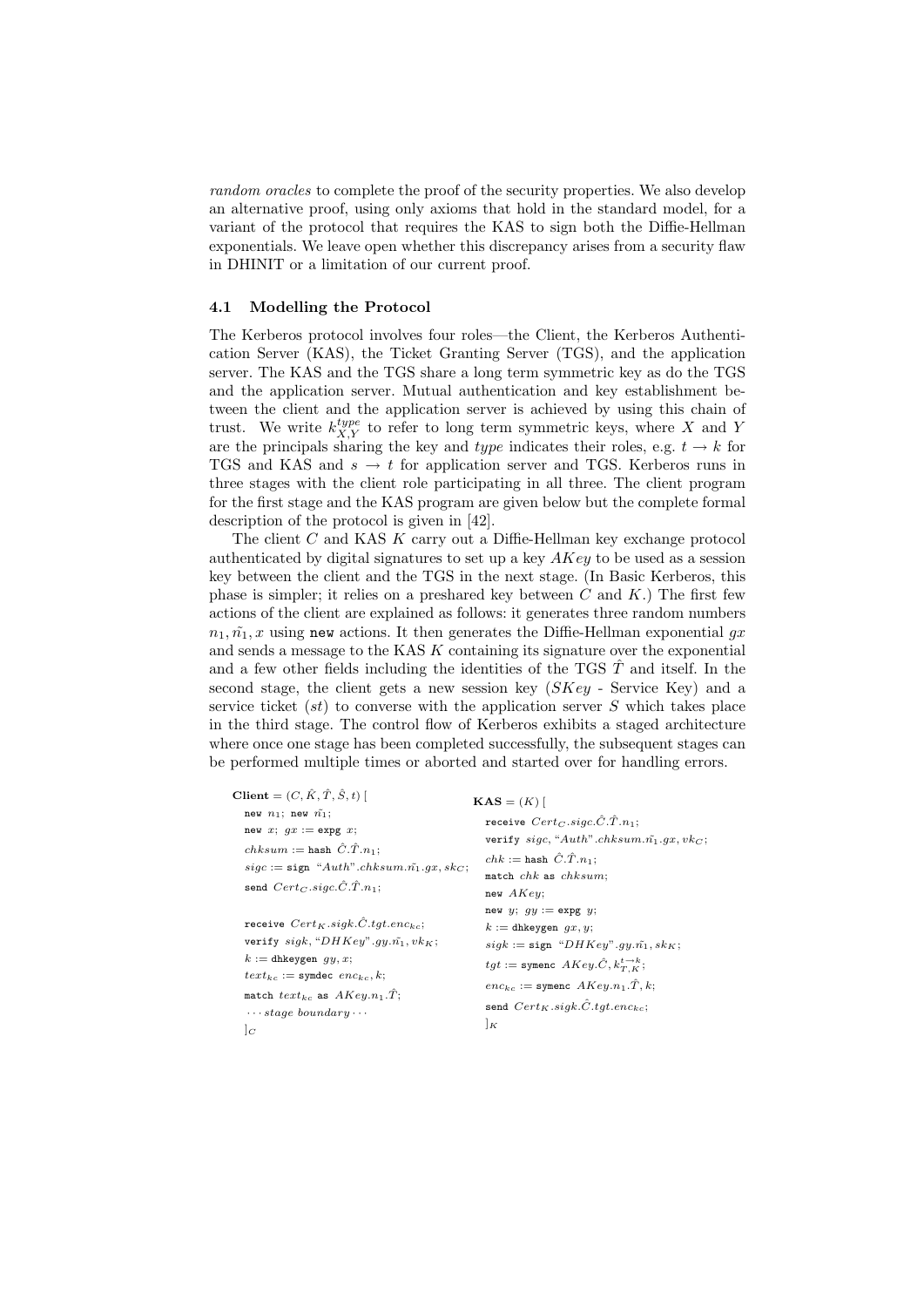random oracles to complete the proof of the security properties. We also develop an alternative proof, using only axioms that hold in the standard model, for a variant of the protocol that requires the KAS to sign both the Diffie-Hellman exponentials. We leave open whether this discrepancy arises from a security flaw in DHINIT or a limitation of our current proof.

#### 4.1 Modelling the Protocol

The Kerberos protocol involves four roles—the Client, the Kerberos Authentication Server (KAS), the Ticket Granting Server (TGS), and the application server. The KAS and the TGS share a long term symmetric key as do the TGS and the application server. Mutual authentication and key establishment between the client and the application server is achieved by using this chain of trust. We write  $k_{X,Y}^{type}$  to refer to long term symmetric keys, where X and Y are the principals sharing the key and type indicates their roles, e.g.  $t \rightarrow k$  for TGS and KAS and  $s \to t$  for application server and TGS. Kerberos runs in three stages with the client role participating in all three. The client program for the first stage and the KAS program are given below but the complete formal description of the protocol is given in [42].

The client C and KAS K carry out a Diffie-Hellman key exchange protocol authenticated by digital signatures to set up a key  $AKey$  to be used as a session key between the client and the TGS in the next stage. (In Basic Kerberos, this phase is simpler; it relies on a preshared key between  $C$  and  $K$ .) The first few actions of the client are explained as follows: it generates three random numbers  $n_1, \tilde{n_1}, x$  using new actions. It then generates the Diffie-Hellman exponential  $gx$ and sends a message to the KAS K containing its signature over the exponential and a few other fields including the identities of the TGS  $\hat{T}$  and itself. In the second stage, the client gets a new session key  $(SKey - Service Key)$  and a service ticket  $(st)$  to converse with the application server S which takes place in the third stage. The control flow of Kerberos exhibits a staged architecture where once one stage has been completed successfully, the subsequent stages can be performed multiple times or aborted and started over for handling errors.

```
Client = (C, \hat{K}, \hat{T}, \hat{S}, t) [
  new n_1; new \tilde{n_1};
  new x; qx := exp(x;chksum := \text{hash } \hat{C}.\hat{T}.n_1;sigc := sign "Auth".chksum.\tilde{n_1}.gx, skc;
  send Cert_C.size.\hat{C}.\hat{T}.n_1;receive Cert_K.size. \hat{C}.tgt. enc_{kc};
  verify sigk, "DHKey".gy.\tilde{n_1}, vk_K;
  k := dhkeygen gy, x;text_{kc} := symdec enc_{kc}, k;match text_{kc} as AKey.n_1.\hat{T};
   \cdots stage boundary \cdots\overline{\ }\overline{\ }\mathbf{KAS} = (K)receive Cert_C.size. \hat{C}. \hat{T}.n_1;verify sigc, "Auth".chksum.\tilde{n_1}.gx, vk_C;
                                                              chk := \text{hash } \hat{C}.\hat{T}.n_1;match chk as chksum;new AKey;
                                                              new y; qy := exp(x, y);
                                                              k := dhkeygen gx, y;sigk := \text{sign} \text{``}DHKey", gy.\tilde{n_1}, sk_K;tgt := symenc \,AKey.\, \hat{C}, \, k_{T,K}^{t\rightarrow k};enc_{kc} := symenc AKey. n_1.\hat{T}, k;send Cert_K.size. \hat{C}.tgt. enc_{kc};
                                                              \cdot
```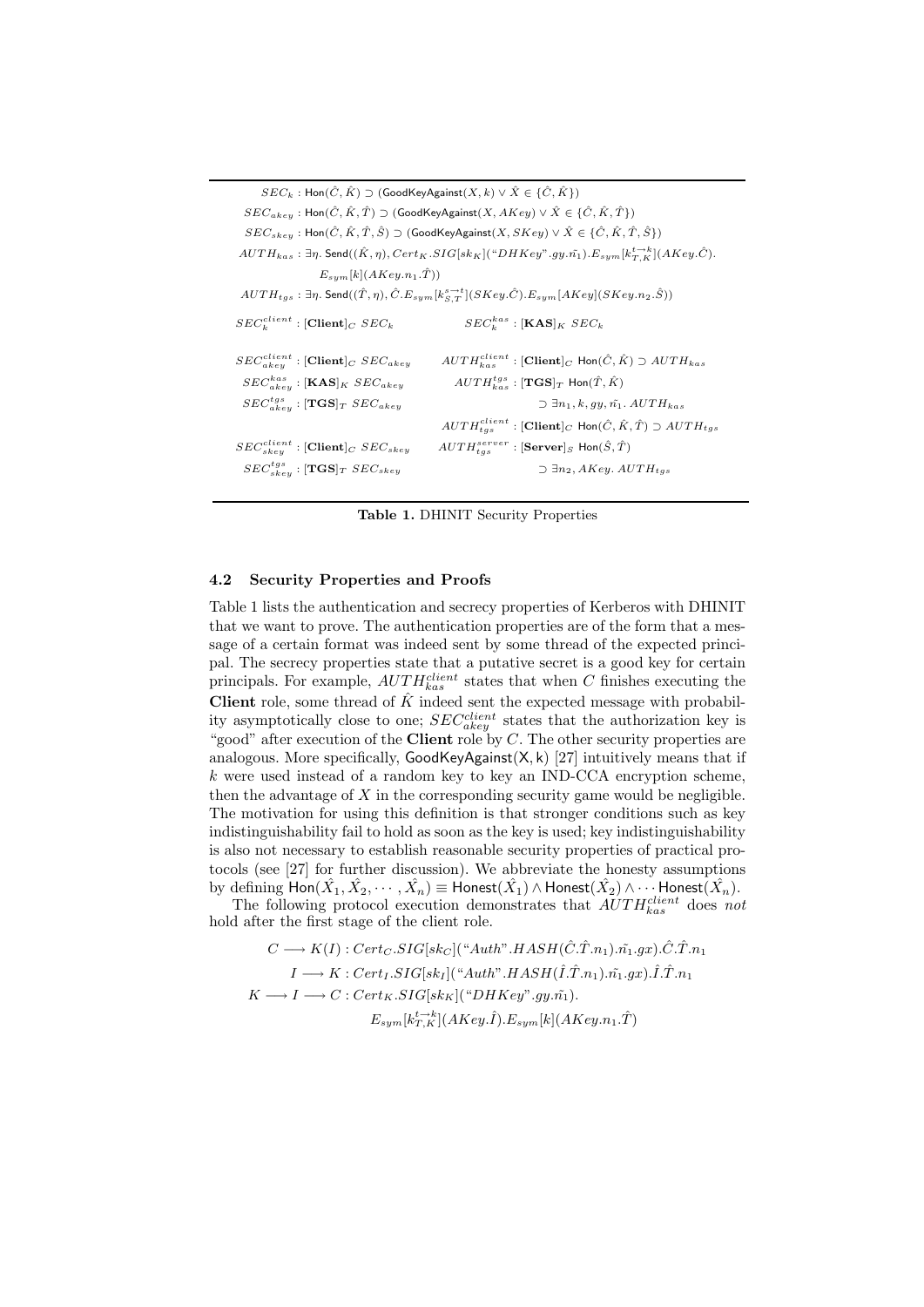```
SEC_k : \textsf{Hom}(\hat{C}, \hat{K}) \supset (\textsf{GoodKeyAgainst}(X, k) \vee \hat{X} \in \{\hat{C}, \hat{K}\})SEC_{a key} : \textsf{Hom}(\hat{C}, \hat{K}, \hat{T}) \supset (\textsf{GoodKeyAgainst}(X, AKey) \vee \hat{X} \in \{\hat{C}, \hat{K}, \hat{T}\})SEC_{skew} : \text{Hom}(\hat{C}, \hat{K}, \hat{T}, \hat{S}) \supset (\text{GoodKeyAgainst}(X, SKey) \vee \hat{X} \in \{\hat{C}, \hat{K}, \hat{T}, \hat{S}\})AUTH_{kas}:\exists\eta.\ \mathsf{Send}((\hat{K},\eta),Cert_K.SIG[sk_K]("DHKey",gy.\tilde{n_1}).E_{sym}[k_{T,K}^{t\rightarrow k}](AKey.\hat{C}).E_{sym}[k](AKey.n_1.\hat{T}))AUTH_{tgs}: \exists \eta. Send((\hat{T},\eta), \hat{C}.E_{sym}[k_{S,T}^{s\to t}](SKey.\hat{C}).E_{sym}[AKey](SKey.n_2.\hat{S}))SEC^{client}_k : [\textbf{Client}]_C \; SEC_k \hspace{2cm} SEC^{kas}_k\mathcal{C}_k^{\kappa as}: [\mathbf{KAS}]_K SEC_kSEC^{client}_{akey} : [\mathbf{Client}]_{C} \ \ SEC_{akey} \qquad \ \quad AUTH^{client}_{kas}AUTH_{kas}^{client}: [Client]_C Hon(\hat{C}, \hat{K}) \supset AUTH_{kas}SEC_{akey}^{kas} : [\mathbf{KAS}]_K SEC_{akey} AUTH_{kas}^{tgs}AUTH_{kas}^{tgs} : [\mathbf{TGS}]_T Hon(\hat{T}, \hat{K})SEC_{akey}^{tgs} : [\mathbf{TGS}]_T \; SEC_{akey} \longrightarrow \exists n_1, k, gy, \tilde{n_1} \ldotp AUTH_{kas}\mathit{AUTH}_{tgs}^{client} : [\mathbf{Client}]_C Hon(\hat{C}, \hat{K}, \hat{T}) \supset \mathit{AUTH}_{tgs}SEC^{client}_{skey}: {\rm [Client]_{C}} \; SEC_{skey} \qquad AUTH^{server}_{tgs}AUTH_{tas}^{server}: [Server]s Hon(\hat{S}, \hat{T})
  SEC_{skey}^{tgs} : [\mathbf{TGS}]_T \; SEC_{skey} > \exists n_2, AKey. \; AUTH_{tgs}
```
Table 1. DHINIT Security Properties

#### 4.2 Security Properties and Proofs

Table 1 lists the authentication and secrecy properties of Kerberos with DHINIT that we want to prove. The authentication properties are of the form that a message of a certain format was indeed sent by some thread of the expected principal. The secrecy properties state that a putative secret is a good key for certain principals. For example,  $AUTH_{kas}^{client}$  states that when C finishes executing the Client role, some thread of  $\hat{K}$  indeed sent the expected message with probability asymptotically close to one;  $SEC_{akey}^{client}$  states that the authorization key is "good" after execution of the Client role by  $C$ . The other security properties are analogous. More specifically,  $GoodKeyAgainst(X, k)$  [27] intuitively means that if  $k$  were used instead of a random key to key an IND-CCA encryption scheme, then the advantage of  $X$  in the corresponding security game would be negligible. The motivation for using this definition is that stronger conditions such as key indistinguishability fail to hold as soon as the key is used; key indistinguishability is also not necessary to establish reasonable security properties of practical protocols (see [27] for further discussion). We abbreviate the honesty assumptions by  $\text{defining } \check{\mathsf{Hom}}(\hat{X_1}, \hat{X_2}, \cdots, \hat{X_n}) \equiv \check{\mathsf{Homest}}(\hat{X_1}) \wedge \mathsf{Homest}(\hat{X_2}) \wedge \cdots \mathsf{Homest}(\hat{X_n}).$ 

The following protocol execution demonstrates that  $AUTH_{kas}^{client}$  does not hold after the first stage of the client role.

$$
C \longrightarrow K(I): Cert_C.SIG[sk_C]("Author". HASH(\hat{C}.\hat{T}.n_1).\hat{n_1}.gx).\hat{C}.\hat{T}.n_1
$$
  
\n
$$
I \longrightarrow K: Cert_L.SIG[sk_I]("Author". HASH(\hat{I}.\hat{T}.n_1).\hat{n_1}.gx).\hat{I}.\hat{T}.n_1
$$
  
\n
$$
K \longrightarrow I \longrightarrow C: Cert_K.SIG[sk_K]("DHKey", gy.\hat{n_1}).
$$
  
\n
$$
E_{sym}[k_{T,K}^{t\rightarrow k}](AKey.\hat{I}).E_{sym}[k](AKey.n_1.\hat{T})
$$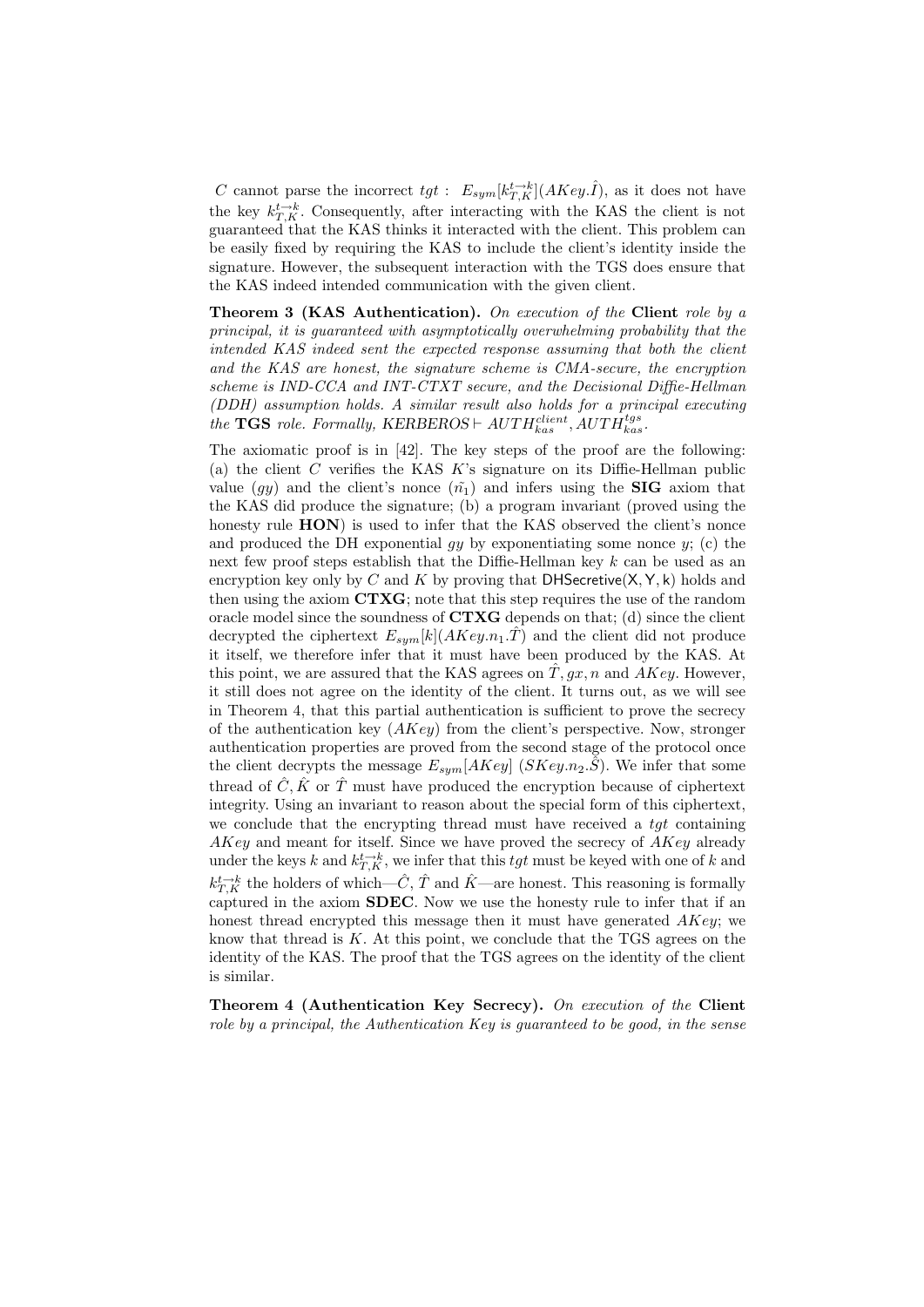C cannot parse the incorrect  $tgt: E_{sym}[k_{T,K}^{t\to k}](AKey.\hat{I}),$  as it does not have the key  $k_{T,K}^{t\to k}$ . Consequently, after interacting with the KAS the client is not guaranteed that the KAS thinks it interacted with the client. This problem can be easily fixed by requiring the KAS to include the client's identity inside the signature. However, the subsequent interaction with the TGS does ensure that the KAS indeed intended communication with the given client.

Theorem 3 (KAS Authentication). On execution of the Client role by a principal, it is guaranteed with asymptotically overwhelming probability that the intended KAS indeed sent the expected response assuming that both the client and the KAS are honest, the signature scheme is CMA-secure, the encryption scheme is IND-CCA and INT-CTXT secure, and the Decisional Diffie-Hellman (DDH) assumption holds. A similar result also holds for a principal executing  $\textit{the}$  **TGS** role. Formally, KERBEROS  $\vdash$  AUT  $H_{kas}^{client}$ , AUT  $H_{kas}^{tgs}$ .

The axiomatic proof is in [42]. The key steps of the proof are the following: (a) the client C verifies the KAS  $K$ 's signature on its Diffie-Hellman public value (qy) and the client's nonce  $(\tilde{n_1})$  and infers using the **SIG** axiom that the KAS did produce the signature; (b) a program invariant (proved using the honesty rule HON) is used to infer that the KAS observed the client's nonce and produced the DH exponential  $gy$  by exponentiating some nonce  $y$ ; (c) the next few proof steps establish that the Diffie-Hellman key k can be used as an encryption key only by C and K by proving that DHSecretive $(X, Y, k)$  holds and then using the axiom  $CTXG$ ; note that this step requires the use of the random oracle model since the soundness of  $\mathbf{CTXG}$  depends on that; (d) since the client decrypted the ciphertext  $E_{sum}[k](AKey.n_1.\hat{T})$  and the client did not produce it itself, we therefore infer that it must have been produced by the KAS. At this point, we are assured that the KAS agrees on  $\ddot{T}$ ,  $gx$ ,  $n$  and  $AKey$ . However, it still does not agree on the identity of the client. It turns out, as we will see in Theorem 4, that this partial authentication is sufficient to prove the secrecy of the authentication key  $(AKey)$  from the client's perspective. Now, stronger authentication properties are proved from the second stage of the protocol once the client decrypts the message  $E_{sym}[AKey]$  ( $SKey.n_2.S$ ). We infer that some thread of  $\hat{C}, \hat{K}$  or  $\hat{T}$  must have produced the encryption because of ciphertext integrity. Using an invariant to reason about the special form of this ciphertext, we conclude that the encrypting thread must have received a  $tgt$  containing  $AKey$  and meant for itself. Since we have proved the secrecy of  $AKey$  already under the keys k and  $k_{T,K}^{t\to k}$ , we infer that this  $tgt$  must be keyed with one of k and  $k_{T,K}^{t\to k}$  the holders of which— $\hat{C}$ ,  $\hat{T}$  and  $\hat{K}$ —are honest. This reasoning is formally captured in the axiom SDEC. Now we use the honesty rule to infer that if an honest thread encrypted this message then it must have generated  $AKey$ ; we know that thread is  $K$ . At this point, we conclude that the TGS agrees on the identity of the KAS. The proof that the TGS agrees on the identity of the client is similar.

Theorem 4 (Authentication Key Secrecy). On execution of the Client role by a principal, the Authentication Key is guaranteed to be good, in the sense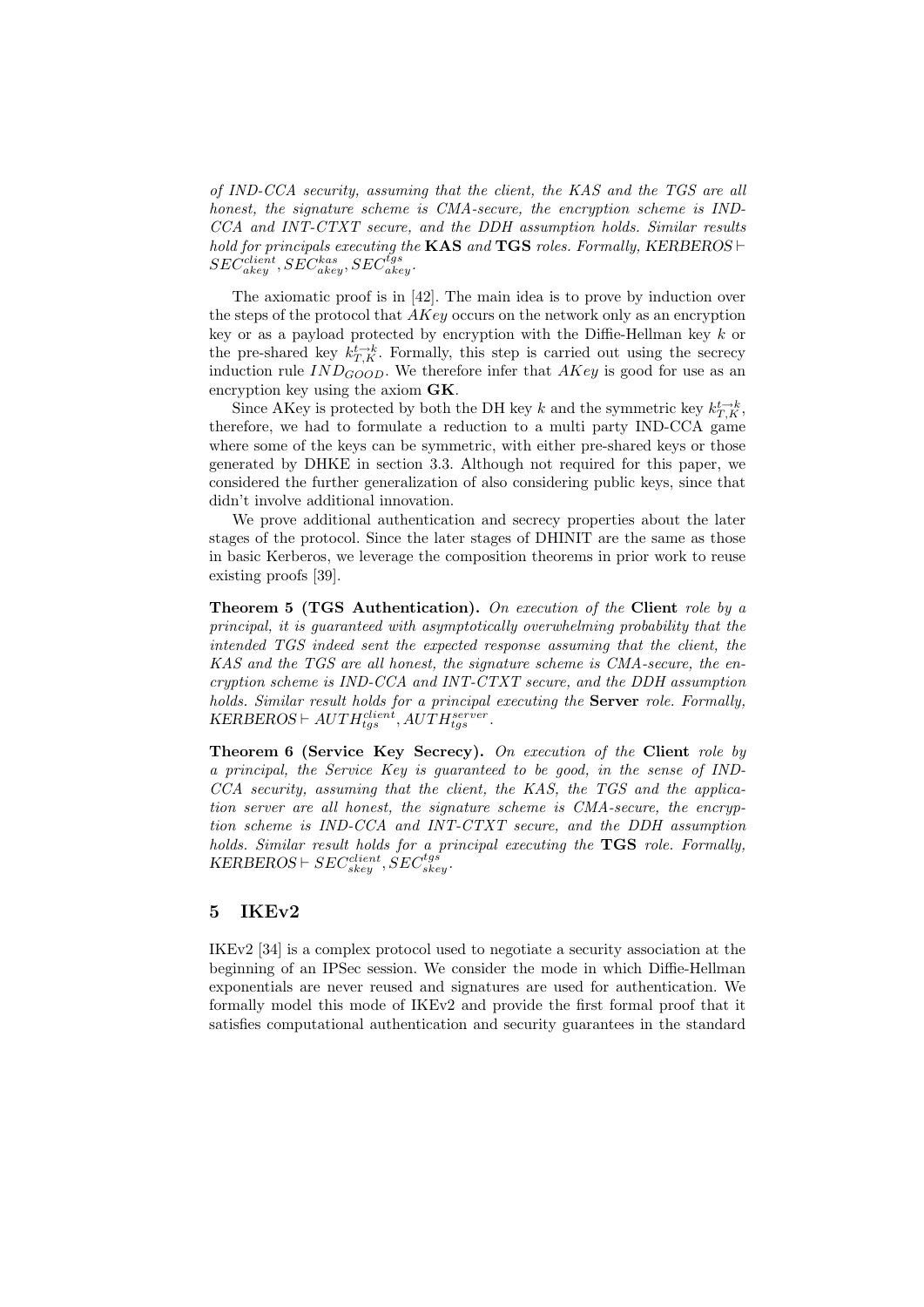of IND-CCA security, assuming that the client, the KAS and the TGS are all honest, the signature scheme is CMA-secure, the encryption scheme is IND-CCA and INT-CTXT secure, and the DDH assumption holds. Similar results hold for principals executing the KAS and TGS roles. Formally, KERBEROS  $\vdash$  $SEC^{client}_{akey}, SEC^{kas}_{akey}, SEC^{tgs}_{akey}. \$ 

The axiomatic proof is in [42]. The main idea is to prove by induction over the steps of the protocol that  $AKey$  occurs on the network only as an encryption key or as a payload protected by encryption with the Diffie-Hellman key k or the pre-shared key  $k_{T,K}^{t\to k}$ . Formally, this step is carried out using the secrecy induction rule  $IND_{GOOD}$ . We therefore infer that  $AKey$  is good for use as an encryption key using the axiom GK.

Since AKey is protected by both the DH key k and the symmetric key  $k_{T,K}^{t\to k}$ , therefore, we had to formulate a reduction to a multi party IND-CCA game where some of the keys can be symmetric, with either pre-shared keys or those generated by DHKE in section 3.3. Although not required for this paper, we considered the further generalization of also considering public keys, since that didn't involve additional innovation.

We prove additional authentication and secrecy properties about the later stages of the protocol. Since the later stages of DHINIT are the same as those in basic Kerberos, we leverage the composition theorems in prior work to reuse existing proofs [39].

Theorem 5 (TGS Authentication). On execution of the Client role by a principal, it is guaranteed with asymptotically overwhelming probability that the intended TGS indeed sent the expected response assuming that the client, the KAS and the TGS are all honest, the signature scheme is CMA-secure, the encryption scheme is IND-CCA and INT-CTXT secure, and the DDH assumption holds. Similar result holds for a principal executing the Server role. Formally,  $KERBEROS \vdash AUTH_{tgs}^{client}, AUTH_{tgs}^{server}.$ 

Theorem 6 (Service Key Secrecy). On execution of the Client role by a principal, the Service Key is guaranteed to be good, in the sense of IND-CCA security, assuming that the client, the KAS, the TGS and the application server are all honest, the signature scheme is CMA-secure, the encryption scheme is IND-CCA and INT-CTXT secure, and the DDH assumption holds. Similar result holds for a principal executing the  $TGS$  role. Formally,  $\mathrm{KERBEROS} \vdash \mathrm{SEC}_{skey}^{client}, \mathrm{\tilde{S}EC}_{skey}^{tgs}.$ 

# 5 IKEv2

IKEv2 [34] is a complex protocol used to negotiate a security association at the beginning of an IPSec session. We consider the mode in which Diffie-Hellman exponentials are never reused and signatures are used for authentication. We formally model this mode of IKEv2 and provide the first formal proof that it satisfies computational authentication and security guarantees in the standard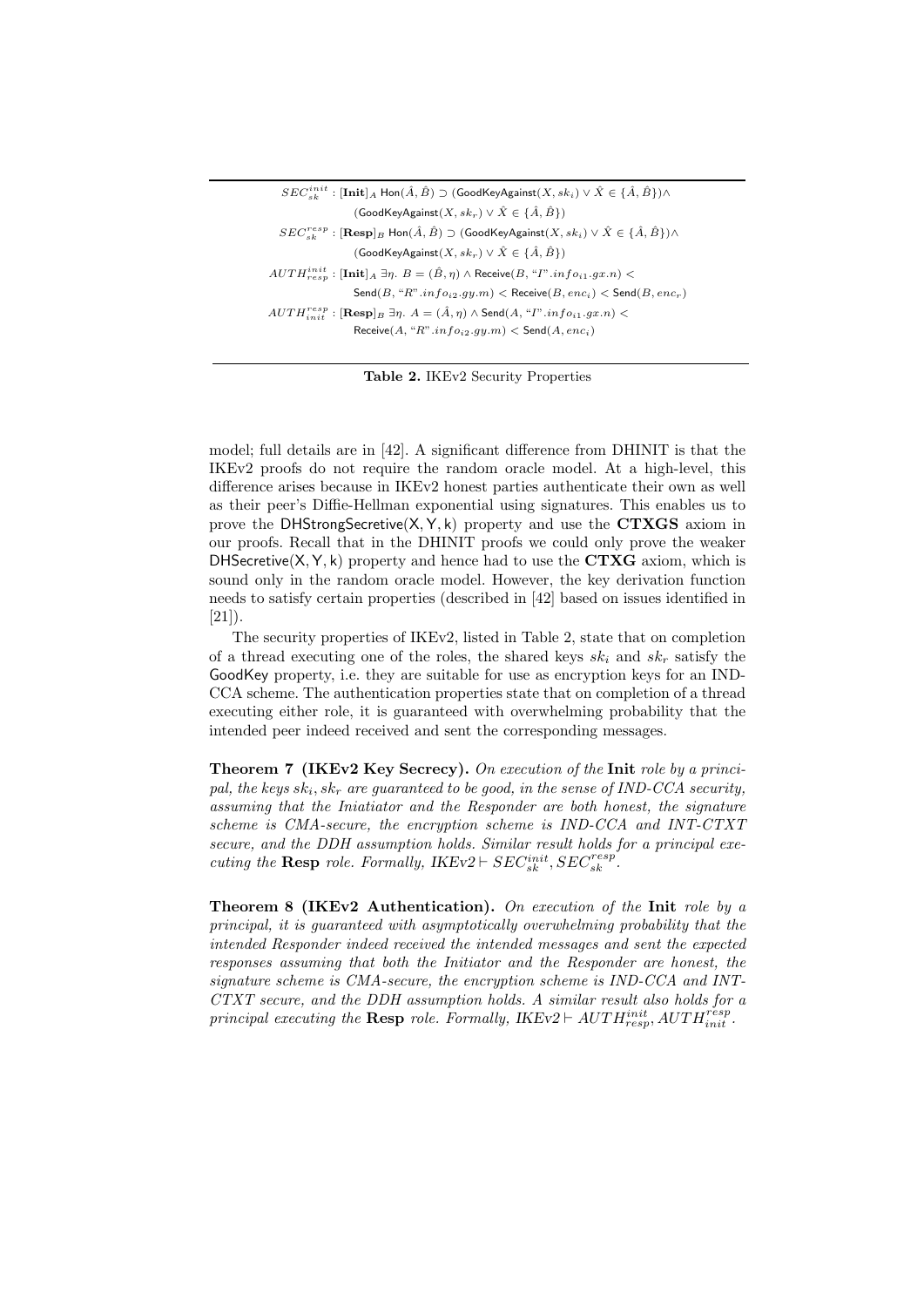$SEC^{init}_{sk} : [\mathbf{Init}]_A$  Hon $(\hat{A}, \hat{B}) \supset (\mathsf{GoodKeyAgainst}(X, sk_i) \vee \hat{X} \in \{\hat{A}, \hat{B}\}) \wedge$  $($ GoodKeyAgainst $(X, sk_r)$  ∨  $\hat{X}$  ∈  $\{\hat{A}, \hat{B}\}$  $SEC^{resp}_{sk} : [\mathbf{Resp}]_B$  Hon $(\hat{A}, \hat{B}) \supset (\mathsf{GoodKeyAgainst}(X, sk_i) \vee \hat{X} \in \{\hat{A}, \hat{B}\}) \wedge$  $(GoodKeyAgainst(X, sk_T) \vee \hat{X} \in \{\hat{A}, \hat{B}\})$  $AUTH^{init}_{resp}:[\mathbf{Init}]_A \; \exists \eta. \; B=(\hat{B},\eta) \land \mathsf{Receive}(B, \text{``}I", \text{info}_{i1}.gx.n) <$  $\textsf{Send}(B, "R", \textit{info}_{i2}.gy.m) < \textsf{Receive}(B, \textit{enc}_i) < \textsf{Send}(B, \textit{enc}_r)$  $AUTH^{resp}_{init} : [\mathbf{Resp}]_B \; \exists \eta. \; A = (\hat{A}, \eta) \land \mathsf{Send}(A, \text{``I''}.info_{i1}.gx.n) <$  $\mathsf{Receive}(A, \text{``}R\text{''}.info_{i2}.gy.m) < \mathsf{Send}(A, enc_i)$ 

Table 2. IKEv2 Security Properties

model; full details are in [42]. A significant difference from DHINIT is that the IKEv2 proofs do not require the random oracle model. At a high-level, this difference arises because in IKEv2 honest parties authenticate their own as well as their peer's Diffie-Hellman exponential using signatures. This enables us to prove the DHStrongSecretive $(X, Y, k)$  property and use the CTXGS axiom in our proofs. Recall that in the DHINIT proofs we could only prove the weaker DHSecretive( $(X, Y, k)$  property and hence had to use the CTXG axiom, which is sound only in the random oracle model. However, the key derivation function needs to satisfy certain properties (described in [42] based on issues identified in  $[21]$ ).

The security properties of IKEv2, listed in Table 2, state that on completion of a thread executing one of the roles, the shared keys  $sk_i$  and  $sk_r$  satisfy the GoodKey property, i.e. they are suitable for use as encryption keys for an IND-CCA scheme. The authentication properties state that on completion of a thread executing either role, it is guaranteed with overwhelming probability that the intended peer indeed received and sent the corresponding messages.

Theorem 7 (IKEv2 Key Secrecy). On execution of the Init role by a principal, the keys  $sk_i, sk_r$  are guaranteed to be good, in the sense of IND-CCA security, assuming that the Iniatiator and the Responder are both honest, the signature scheme is CMA-secure, the encryption scheme is IND-CCA and INT-CTXT secure, and the DDH assumption holds. Similar result holds for a principal executing the Resp role. Formally, IKEv2+  $SEC_{sk}^{init}$ ,  $SEC_{sk}^{resp}$ .

**Theorem 8 (IKEv2 Authentication).** On execution of the Init role by a principal, it is guaranteed with asymptotically overwhelming probability that the intended Responder indeed received the intended messages and sent the expected responses assuming that both the Initiator and the Responder are honest, the signature scheme is CMA-secure, the encryption scheme is IND-CCA and INT-CTXT secure, and the DDH assumption holds. A similar result also holds for a principal executing the **Resp** role. Formally,  $IKEv2 \vdash AUTH^{init}_{resp}$ ,  $AUTH^{resp}_{init}$ .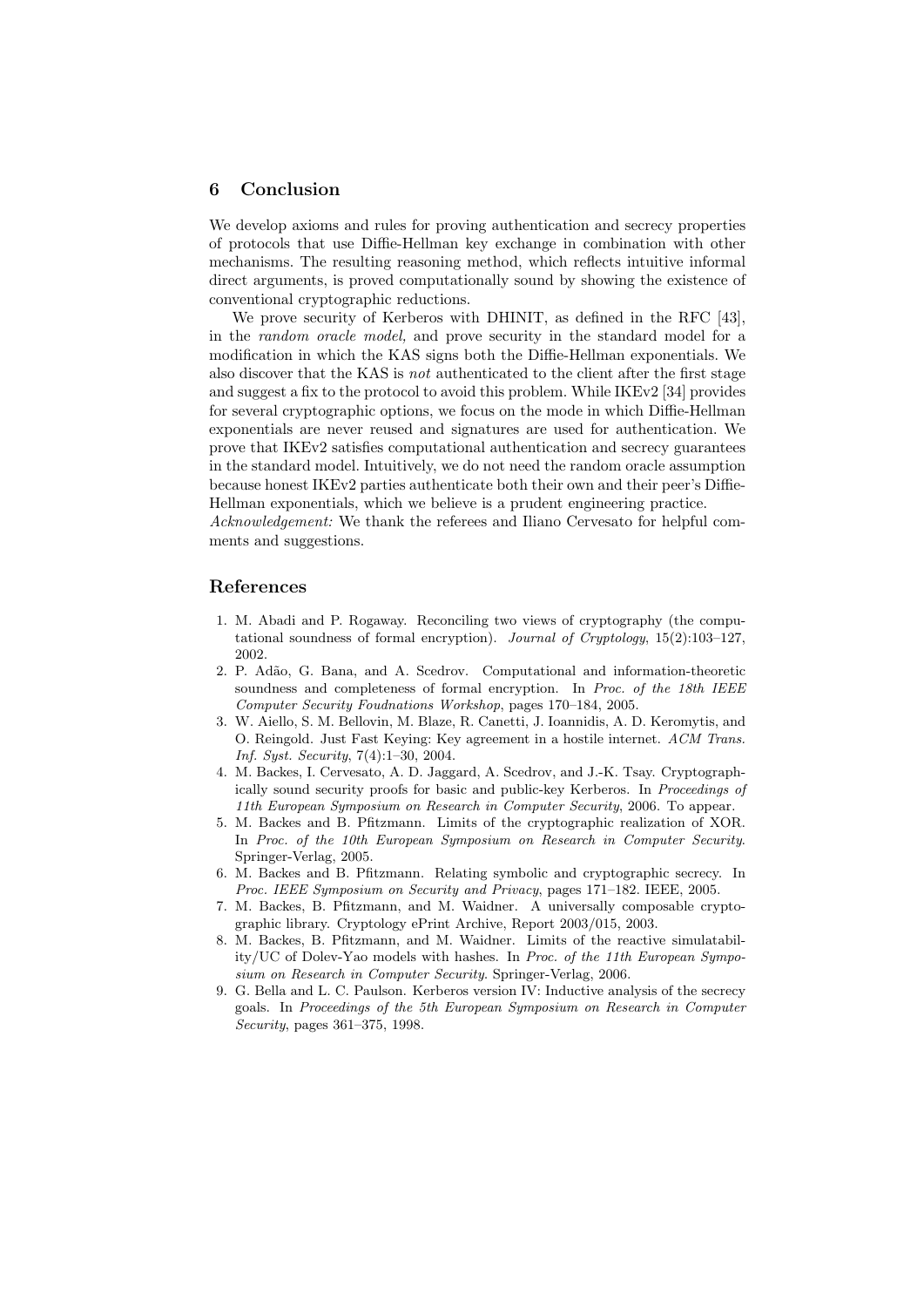### 6 Conclusion

We develop axioms and rules for proving authentication and secrecy properties of protocols that use Diffie-Hellman key exchange in combination with other mechanisms. The resulting reasoning method, which reflects intuitive informal direct arguments, is proved computationally sound by showing the existence of conventional cryptographic reductions.

We prove security of Kerberos with DHINIT, as defined in the RFC [43], in the random oracle model, and prove security in the standard model for a modification in which the KAS signs both the Diffie-Hellman exponentials. We also discover that the KAS is not authenticated to the client after the first stage and suggest a fix to the protocol to avoid this problem. While IKEv2 [34] provides for several cryptographic options, we focus on the mode in which Diffie-Hellman exponentials are never reused and signatures are used for authentication. We prove that IKEv2 satisfies computational authentication and secrecy guarantees in the standard model. Intuitively, we do not need the random oracle assumption because honest IKEv2 parties authenticate both their own and their peer's Diffie-Hellman exponentials, which we believe is a prudent engineering practice.

Acknowledgement: We thank the referees and Iliano Cervesato for helpful comments and suggestions.

#### References

- 1. M. Abadi and P. Rogaway. Reconciling two views of cryptography (the computational soundness of formal encryption). Journal of Cryptology, 15(2):103–127, 2002.
- 2. P. Ad˜ao, G. Bana, and A. Scedrov. Computational and information-theoretic soundness and completeness of formal encryption. In Proc. of the 18th IEEE Computer Security Foudnations Workshop, pages 170–184, 2005.
- 3. W. Aiello, S. M. Bellovin, M. Blaze, R. Canetti, J. Ioannidis, A. D. Keromytis, and O. Reingold. Just Fast Keying: Key agreement in a hostile internet. ACM Trans. Inf. Syst. Security, 7(4):1–30, 2004.
- 4. M. Backes, I. Cervesato, A. D. Jaggard, A. Scedrov, and J.-K. Tsay. Cryptographically sound security proofs for basic and public-key Kerberos. In Proceedings of 11th European Symposium on Research in Computer Security, 2006. To appear.
- 5. M. Backes and B. Pfitzmann. Limits of the cryptographic realization of XOR. In Proc. of the 10th European Symposium on Research in Computer Security. Springer-Verlag, 2005.
- 6. M. Backes and B. Pfitzmann. Relating symbolic and cryptographic secrecy. In Proc. IEEE Symposium on Security and Privacy, pages 171–182. IEEE, 2005.
- 7. M. Backes, B. Pfitzmann, and M. Waidner. A universally composable cryptographic library. Cryptology ePrint Archive, Report 2003/015, 2003.
- 8. M. Backes, B. Pfitzmann, and M. Waidner. Limits of the reactive simulatability/UC of Dolev-Yao models with hashes. In Proc. of the 11th European Symposium on Research in Computer Security. Springer-Verlag, 2006.
- 9. G. Bella and L. C. Paulson. Kerberos version IV: Inductive analysis of the secrecy goals. In Proceedings of the 5th European Symposium on Research in Computer Security, pages 361–375, 1998.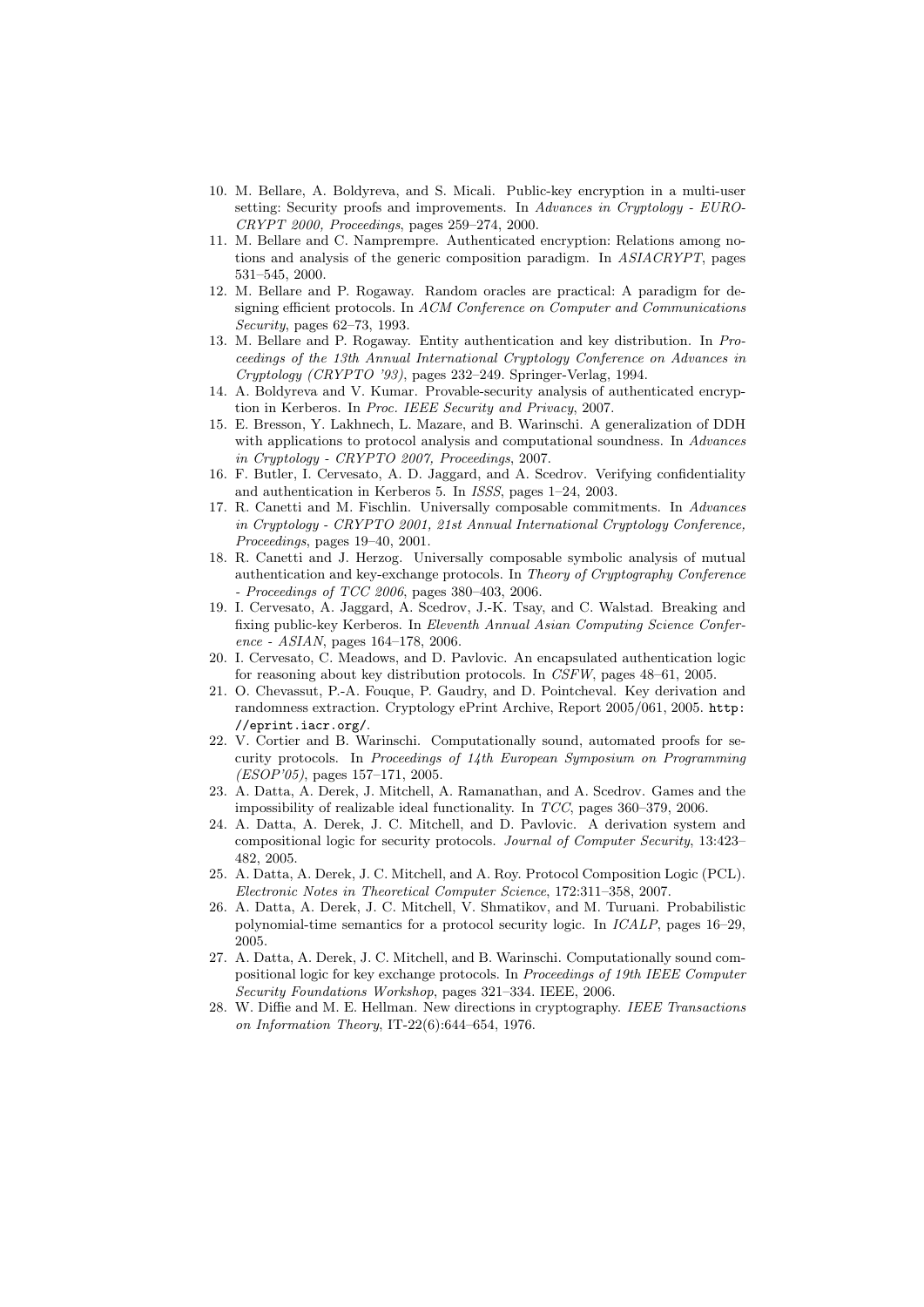- 10. M. Bellare, A. Boldyreva, and S. Micali. Public-key encryption in a multi-user setting: Security proofs and improvements. In Advances in Cryptology - EURO-CRYPT 2000, Proceedings, pages 259–274, 2000.
- 11. M. Bellare and C. Namprempre. Authenticated encryption: Relations among notions and analysis of the generic composition paradigm. In ASIACRYPT, pages 531–545, 2000.
- 12. M. Bellare and P. Rogaway. Random oracles are practical: A paradigm for designing efficient protocols. In ACM Conference on Computer and Communications Security, pages 62–73, 1993.
- 13. M. Bellare and P. Rogaway. Entity authentication and key distribution. In Proceedings of the 13th Annual International Cryptology Conference on Advances in Cryptology (CRYPTO '93), pages 232–249. Springer-Verlag, 1994.
- 14. A. Boldyreva and V. Kumar. Provable-security analysis of authenticated encryption in Kerberos. In Proc. IEEE Security and Privacy, 2007.
- 15. E. Bresson, Y. Lakhnech, L. Mazare, and B. Warinschi. A generalization of DDH with applications to protocol analysis and computational soundness. In Advances in Cryptology - CRYPTO 2007, Proceedings, 2007.
- 16. F. Butler, I. Cervesato, A. D. Jaggard, and A. Scedrov. Verifying confidentiality and authentication in Kerberos 5. In ISSS, pages 1–24, 2003.
- 17. R. Canetti and M. Fischlin. Universally composable commitments. In Advances in Cryptology - CRYPTO 2001, 21st Annual International Cryptology Conference, Proceedings, pages 19–40, 2001.
- 18. R. Canetti and J. Herzog. Universally composable symbolic analysis of mutual authentication and key-exchange protocols. In Theory of Cryptography Conference - Proceedings of TCC 2006, pages  $380-403$ , 2006.
- 19. I. Cervesato, A. Jaggard, A. Scedrov, J.-K. Tsay, and C. Walstad. Breaking and fixing public-key Kerberos. In Eleventh Annual Asian Computing Science Conference - ASIAN, pages 164–178, 2006.
- 20. I. Cervesato, C. Meadows, and D. Pavlovic. An encapsulated authentication logic for reasoning about key distribution protocols. In CSFW, pages 48–61, 2005.
- 21. O. Chevassut, P.-A. Fouque, P. Gaudry, and D. Pointcheval. Key derivation and randomness extraction. Cryptology ePrint Archive, Report 2005/061, 2005. http: //eprint.iacr.org/.
- 22. V. Cortier and B. Warinschi. Computationally sound, automated proofs for security protocols. In Proceedings of 14th European Symposium on Programming (ESOP'05), pages 157–171, 2005.
- 23. A. Datta, A. Derek, J. Mitchell, A. Ramanathan, and A. Scedrov. Games and the impossibility of realizable ideal functionality. In TCC, pages 360–379, 2006.
- 24. A. Datta, A. Derek, J. C. Mitchell, and D. Pavlovic. A derivation system and compositional logic for security protocols. Journal of Computer Security, 13:423– 482, 2005.
- 25. A. Datta, A. Derek, J. C. Mitchell, and A. Roy. Protocol Composition Logic (PCL). Electronic Notes in Theoretical Computer Science, 172:311–358, 2007.
- 26. A. Datta, A. Derek, J. C. Mitchell, V. Shmatikov, and M. Turuani. Probabilistic polynomial-time semantics for a protocol security logic. In ICALP, pages 16–29, 2005.
- 27. A. Datta, A. Derek, J. C. Mitchell, and B. Warinschi. Computationally sound compositional logic for key exchange protocols. In Proceedings of 19th IEEE Computer Security Foundations Workshop, pages 321–334. IEEE, 2006.
- 28. W. Diffie and M. E. Hellman. New directions in cryptography. IEEE Transactions on Information Theory, IT-22(6):644–654, 1976.